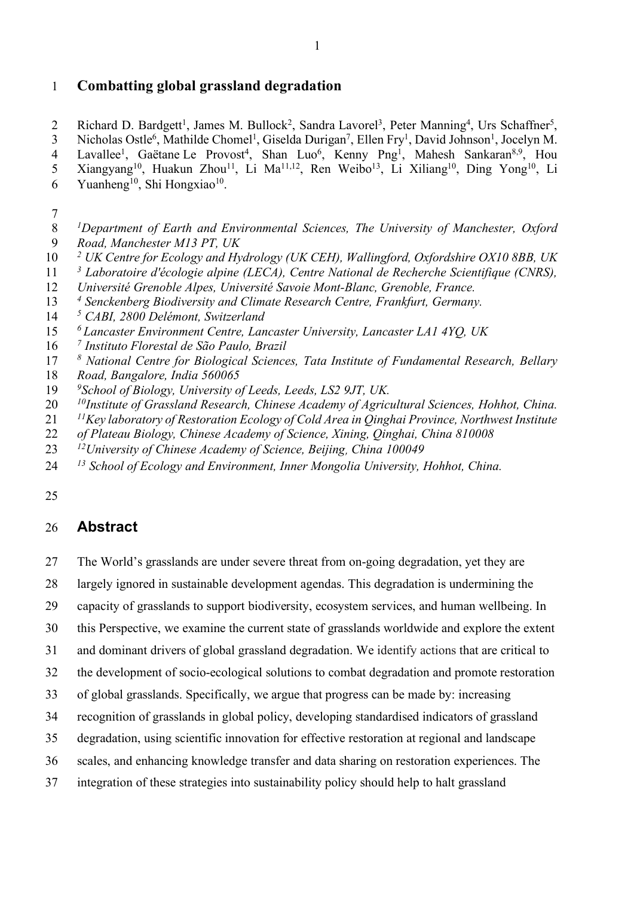## **Combatting global grassland degradation**

2 Richard D. Bardgett<sup>1</sup>, James M. Bullock<sup>2</sup>, Sandra Lavorel<sup>3</sup>, Peter Manning<sup>4</sup>, Urs Schaffner<sup>5</sup>, 3 Nicholas Ostle<sup>6</sup>, Mathilde Chomel<sup>1</sup>, Giselda Durigan<sup>7</sup>, Ellen Fry<sup>1</sup>, David Johnson<sup>1</sup>, Jocelyn M. 4 Lavallee<sup>1</sup>, Gaëtane Le Provost<sup>4</sup>, Shan Luo<sup>6</sup>, Kenny Png<sup>1</sup>, Mahesh Sankaran<sup>8,9</sup>, Hou 5 Xiangyang<sup>10</sup>, Huakun Zhou<sup>11</sup>, Li Ma<sup>11,12</sup>, Ren Weibo<sup>13</sup>, Li Xiliang<sup>10</sup>, Ding Yong<sup>10</sup>, Li 6 Yuanheng<sup>10</sup>, Shi Hongxiao<sup>10</sup>.

- *<sup>1</sup> Department of Earth and Environmental Sciences, The University of Manchester, Oxford Road, Manchester M13 PT, UK*
- *<sup>2</sup> UK Centre for Ecology and Hydrology (UK CEH), Wallingford, Oxfordshire OX10 8BB, UK*
- *<sup>3</sup> Laboratoire d'écologie alpine (LECA), Centre National de Recherche Scientifique (CNRS),*
- *Université Grenoble Alpes, Université Savoie Mont-Blanc, Grenoble, France.*
- *<sup>4</sup> Senckenberg Biodiversity and Climate Research Centre, Frankfurt, Germany.*
- *<sup>5</sup> CABI, 2800 Delémont, Switzerland*
- *<sup>6</sup> Lancaster Environment Centre, Lancaster University, Lancaster LA1 4YQ, UK*
- *<sup>7</sup> Instituto Florestal de São Paulo, Brazil*
- *<sup>8</sup> National Centre for Biological Sciences, Tata Institute of Fundamental Research, Bellary*
- *Road, Bangalore, India 560065*
- *<sup>9</sup> School of Biology, University of Leeds, Leeds, LS2 9JT, UK.*
- *<sup>10</sup> Institute of Grassland Research, Chinese Academy of Agricultural Sciences, Hohhot, China.*
- *<sup>11</sup> Key laboratory of Restoration Ecology of Cold Area in Qinghai Province, Northwest Institute*
- *of Plateau Biology, Chinese Academy of Science, Xining, Qinghai, China 810008*
- *12University of Chinese Academy of Science, Beijing*, *China 100049*
- *<sup>13</sup> School of Ecology and Environment, Inner Mongolia University, Hohhot, China.*

# **Abstract**

- The World's grasslands are under severe threat from on-going degradation, yet they are
- largely ignored in sustainable development agendas. This degradation is undermining the
- capacity of grasslands to support biodiversity, ecosystem services, and human wellbeing. In
- this Perspective, we examine the current state of grasslands worldwide and explore the extent
- and dominant drivers of global grassland degradation. We identify actions that are critical to
- the development of socio-ecological solutions to combat degradation and promote restoration
- of global grasslands. Specifically, we argue that progress can be made by: increasing
- recognition of grasslands in global policy, developing standardised indicators of grassland
- degradation, using scientific innovation for effective restoration at regional and landscape
- scales, and enhancing knowledge transfer and data sharing on restoration experiences. The
- integration of these strategies into sustainability policy should help to halt grassland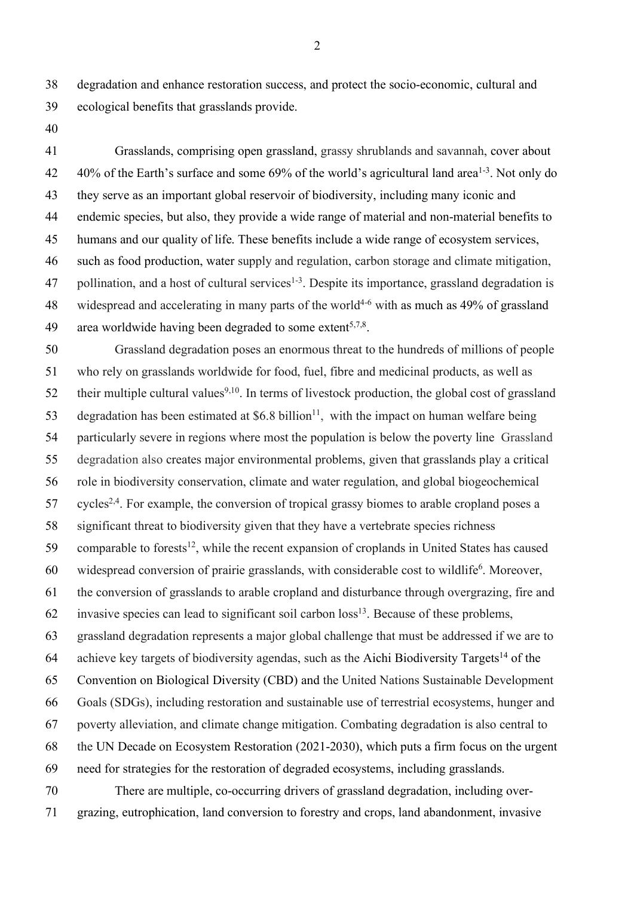degradation and enhance restoration success, and protect the socio-economic, cultural and ecological benefits that grasslands provide.

 Grasslands, comprising open grassland, grassy shrublands and savannah, cover about  $-40\%$  of the Earth's surface and some 69% of the world's agricultural land area<sup>1-3</sup>. Not only do they serve as an important global reservoir of biodiversity, including many iconic and endemic species, but also, they provide a wide range of material and non-material benefits to humans and our quality of life. These benefits include a wide range of ecosystem services, such as food production, water supply and regulation, carbon storage and climate mitigation, 47 pollination, and a host of cultural services<sup>1-3</sup>. Despite its importance, grassland degradation is 48 widespread and accelerating in many parts of the world<sup>4-6</sup> with as much as 49% of grassland 49 area worldwide having been degraded to some extent<sup>5,7,8</sup>.

 Grassland degradation poses an enormous threat to the hundreds of millions of people who rely on grasslands worldwide for food, fuel, fibre and medicinal products, as well as 52 their multiple cultural values<sup>9,10</sup>. In terms of livestock production, the global cost of grassland 53 degradation has been estimated at \$6.8 billion<sup>11</sup>, with the impact on human welfare being particularly severe in regions where most the population is below the poverty line Grassland degradation also creates major environmental problems, given that grasslands play a critical role in biodiversity conservation, climate and water regulation, and global biogeochemical cycles<sup>2,4</sup>. For example, the conversion of tropical grassy biomes to arable cropland poses a significant threat to biodiversity given that they have a vertebrate species richness 59 comparable to forests<sup>12</sup>, while the recent expansion of croplands in United States has caused 60 widespread conversion of prairie grasslands, with considerable cost to wildlife<sup>6</sup>. Moreover, the conversion of grasslands to arable cropland and disturbance through overgrazing, fire and 62 invasive species can lead to significant soil carbon  $loss<sup>13</sup>$ . Because of these problems, grassland degradation represents a major global challenge that must be addressed if we are to 64 achieve key targets of biodiversity agendas, such as the Aichi Biodiversity Targets<sup>14</sup> of the Convention on Biological Diversity (CBD) and the United Nations Sustainable Development Goals (SDGs), including restoration and sustainable use of terrestrial ecosystems, hunger and poverty alleviation, and climate change mitigation. Combating degradation is also central to the UN Decade on Ecosystem Restoration (2021-2030), which puts a firm focus on the urgent need for strategies for the restoration of degraded ecosystems, including grasslands. There are multiple, co-occurring drivers of grassland degradation, including over-

grazing, eutrophication, land conversion to forestry and crops, land abandonment, invasive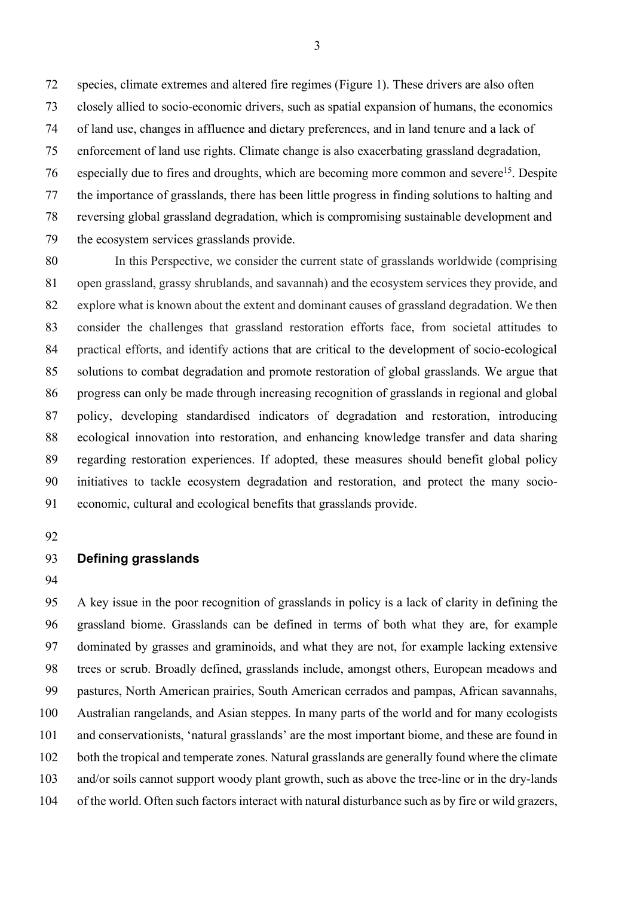species, climate extremes and altered fire regimes (Figure 1). These drivers are also often closely allied to socio-economic drivers, such as spatial expansion of humans, the economics of land use, changes in affluence and dietary preferences, and in land tenure and a lack of enforcement of land use rights. Climate change is also exacerbating grassland degradation, 76 especially due to fires and droughts, which are becoming more common and severe<sup>15</sup>. Despite the importance of grasslands, there has been little progress in finding solutions to halting and reversing global grassland degradation, which is compromising sustainable development and the ecosystem services grasslands provide.

 In this Perspective, we consider the current state of grasslands worldwide (comprising open grassland, grassy shrublands, and savannah) and the ecosystem services they provide, and explore what is known about the extent and dominant causes of grassland degradation. We then consider the challenges that grassland restoration efforts face, from societal attitudes to practical efforts, and identify actions that are critical to the development of socio-ecological solutions to combat degradation and promote restoration of global grasslands. We argue that progress can only be made through increasing recognition of grasslands in regional and global policy, developing standardised indicators of degradation and restoration, introducing ecological innovation into restoration, and enhancing knowledge transfer and data sharing regarding restoration experiences. If adopted, these measures should benefit global policy initiatives to tackle ecosystem degradation and restoration, and protect the many socio-economic, cultural and ecological benefits that grasslands provide.

## **Defining grasslands**

 A key issue in the poor recognition of grasslands in policy is a lack of clarity in defining the grassland biome. Grasslands can be defined in terms of both what they are, for example dominated by grasses and graminoids, and what they are not, for example lacking extensive trees or scrub. Broadly defined, grasslands include, amongst others, European meadows and pastures, North American prairies, South American cerrados and pampas, African savannahs, Australian rangelands, and Asian steppes. In many parts of the world and for many ecologists and conservationists, 'natural grasslands' are the most important biome, and these are found in both the tropical and temperate zones. Natural grasslands are generally found where the climate and/or soils cannot support woody plant growth, such as above the tree-line or in the dry-lands of the world. Often such factors interact with natural disturbance such as by fire or wild grazers,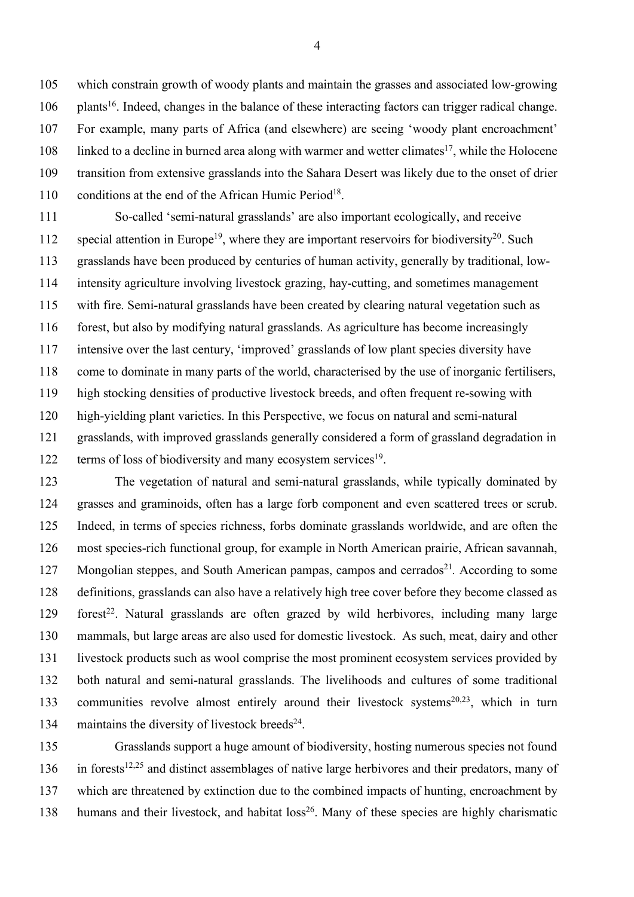which constrain growth of woody plants and maintain the grasses and associated low-growing plants<sup>16</sup>. Indeed, changes in the balance of these interacting factors can trigger radical change. For example, many parts of Africa (and elsewhere) are seeing 'woody plant encroachment' local linked to a decline in burned area along with warmer and wetter climates<sup>17</sup>, while the Holocene transition from extensive grasslands into the Sahara Desert was likely due to the onset of drier 110 conditions at the end of the African Humic Period<sup>18</sup>.

 So-called 'semi-natural grasslands' are also important ecologically, and receive 112 special attention in Europe<sup>19</sup>, where they are important reservoirs for biodiversity<sup>20</sup>. Such grasslands have been produced by centuries of human activity, generally by traditional, low- intensity agriculture involving livestock grazing, hay-cutting, and sometimes management with fire. Semi-natural grasslands have been created by clearing natural vegetation such as forest, but also by modifying natural grasslands. As agriculture has become increasingly intensive over the last century, 'improved' grasslands of low plant species diversity have come to dominate in many parts of the world, characterised by the use of inorganic fertilisers, high stocking densities of productive livestock breeds, and often frequent re-sowing with high-yielding plant varieties. In this Perspective, we focus on natural and semi-natural grasslands, with improved grasslands generally considered a form of grassland degradation in terms of loss of biodiversity and many ecosystem services<sup>19</sup>.

 The vegetation of natural and semi-natural grasslands, while typically dominated by grasses and graminoids, often has a large forb component and even scattered trees or scrub. Indeed, in terms of species richness, forbs dominate grasslands worldwide, and are often the most species-rich functional group, for example in North American prairie, African savannah, 127 Mongolian steppes, and South American pampas, campos and cerrados<sup>21</sup>. According to some definitions, grasslands can also have a relatively high tree cover before they become classed as 129 forest<sup>22</sup>. Natural grasslands are often grazed by wild herbivores, including many large mammals, but large areas are also used for domestic livestock. As such, meat, dairy and other livestock products such as wool comprise the most prominent ecosystem services provided by both natural and semi-natural grasslands. The livelihoods and cultures of some traditional 133 communities revolve almost entirely around their livestock systems<sup>20,23</sup>, which in turn 134 maintains the diversity of livestock breeds<sup>24</sup>.

 Grasslands support a huge amount of biodiversity, hosting numerous species not found 136 in forests<sup>12,25</sup> and distinct assemblages of native large herbivores and their predators, many of which are threatened by extinction due to the combined impacts of hunting, encroachment by 138 humans and their livestock, and habitat  $loss^{26}$ . Many of these species are highly charismatic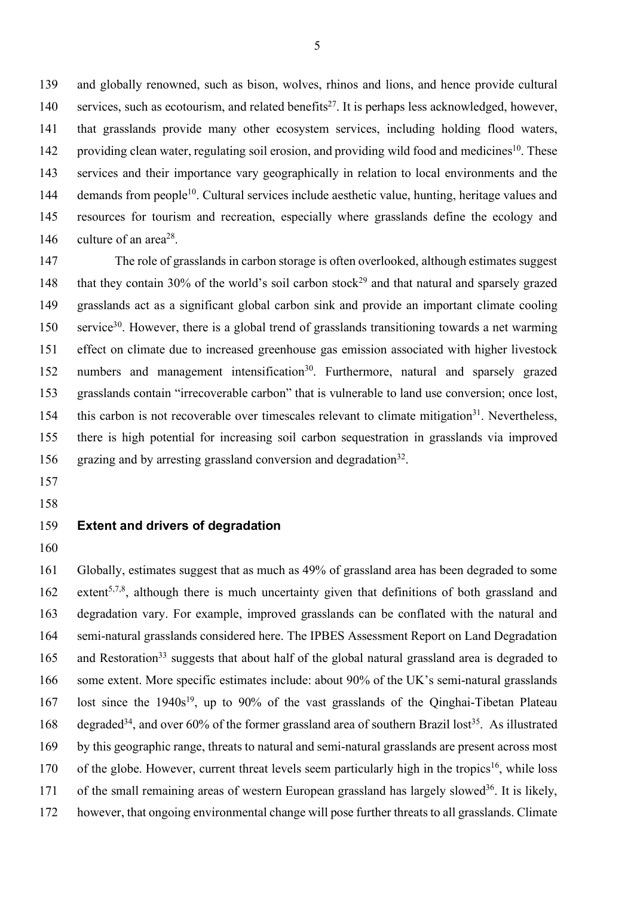139 and globally renowned, such as bison, wolves, rhinos and lions, and hence provide cultural 140 services, such as ecotourism, and related benefits<sup>27</sup>. It is perhaps less acknowledged, however, 141 that grasslands provide many other ecosystem services, including holding flood waters, 142 providing clean water, regulating soil erosion, and providing wild food and medicines<sup>10</sup>. These 143 services and their importance vary geographically in relation to local environments and the 144 demands from people<sup>10</sup>. Cultural services include aesthetic value, hunting, heritage values and 145 resources for tourism and recreation, especially where grasslands define the ecology and 146 culture of an area<sup>28</sup>.

147 The role of grasslands in carbon storage is often overlooked, although estimates suggest 148 that they contain 30% of the world's soil carbon stock<sup>29</sup> and that natural and sparsely grazed 149 grasslands act as a significant global carbon sink and provide an important climate cooling 150 service<sup>30</sup>. However, there is a global trend of grasslands transitioning towards a net warming 151 effect on climate due to increased greenhouse gas emission associated with higher livestock 152 numbers and management intensification<sup>30</sup>. Furthermore, natural and sparsely grazed 153 grasslands contain "irrecoverable carbon" that is vulnerable to land use conversion; once lost, 154 this carbon is not recoverable over timescales relevant to climate mitigation<sup>31</sup>. Nevertheless, 155 there is high potential for increasing soil carbon sequestration in grasslands via improved 156 grazing and by arresting grassland conversion and degradation<sup>32</sup>.

- 157
- 158

## 159 **Extent and drivers of degradation**

160

161 Globally, estimates suggest that as much as 49% of grassland area has been degraded to some 162 extent<sup>5,7,8</sup>, although there is much uncertainty given that definitions of both grassland and 163 degradation vary. For example, improved grasslands can be conflated with the natural and 164 semi-natural grasslands considered here. The IPBES Assessment Report on Land Degradation 165 and Restoration<sup>33</sup> suggests that about half of the global natural grassland area is degraded to 166 some extent. More specific estimates include: about 90% of the UK's semi-natural grasslands 167 lost since the  $1940s^{19}$ , up to 90% of the vast grasslands of the Qinghai-Tibetan Plateau 168 degraded<sup>34</sup>, and over 60% of the former grassland area of southern Brazil lost<sup>35</sup>. As illustrated 169 by this geographic range, threats to natural and semi-natural grasslands are present across most  $170$  of the globe. However, current threat levels seem particularly high in the tropics<sup>16</sup>, while loss 171 of the small remaining areas of western European grassland has largely slowed<sup>36</sup>. It is likely, 172 however, that ongoing environmental change will pose further threats to all grasslands. Climate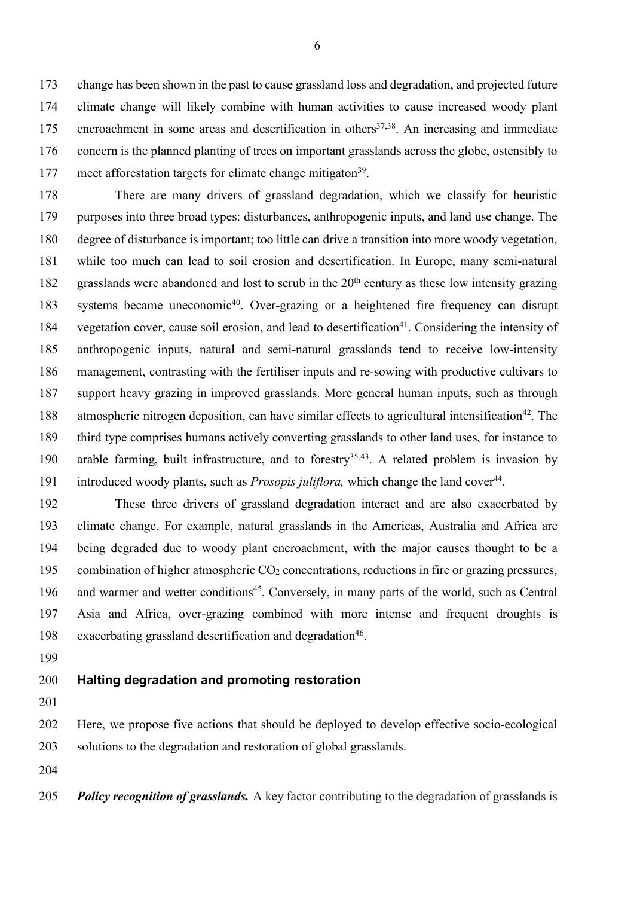change has been shown in the past to cause grassland loss and degradation, and projected future climate change will likely combine with human activities to cause increased woody plant 175 encroachment in some areas and desertification in others<sup>37,38</sup>. An increasing and immediate concern is the planned planting of trees on important grasslands across the globe, ostensibly to 177 meet afforestation targets for climate change mitigaton<sup>39</sup>.

 There are many drivers of grassland degradation, which we classify for heuristic purposes into three broad types: disturbances, anthropogenic inputs, and land use change. The degree of disturbance is important; too little can drive a transition into more woody vegetation, while too much can lead to soil erosion and desertification. In Europe, many semi-natural 182 grasslands were abandoned and lost to scrub in the  $20<sup>th</sup>$  century as these low intensity grazing 183 systems became uneconomic<sup>40</sup>. Over-grazing or a heightened fire frequency can disrupt 184 vegetation cover, cause soil erosion, and lead to desertification<sup>41</sup>. Considering the intensity of anthropogenic inputs, natural and semi-natural grasslands tend to receive low-intensity management, contrasting with the fertiliser inputs and re-sowing with productive cultivars to support heavy grazing in improved grasslands. More general human inputs, such as through 188 atmospheric nitrogen deposition, can have similar effects to agricultural intensification<sup>42</sup>. The third type comprises humans actively converting grasslands to other land uses, for instance to 190 arable farming, built infrastructure, and to forestry<sup>35,43</sup>. A related problem is invasion by introduced woody plants, such as *Prosopis juliflora*, which change the land cover<sup>44</sup>.

 These three drivers of grassland degradation interact and are also exacerbated by climate change. For example, natural grasslands in the Americas, Australia and Africa are being degraded due to woody plant encroachment, with the major causes thought to be a 195 combination of higher atmospheric  $CO<sub>2</sub>$  concentrations, reductions in fire or grazing pressures, 196 and warmer and wetter conditions<sup>45</sup>. Conversely, in many parts of the world, such as Central Asia and Africa, over-grazing combined with more intense and frequent droughts is 198 exacerbating grassland desertification and degradation<sup>46</sup>.

## **Halting degradation and promoting restoration**

 Here, we propose five actions that should be deployed to develop effective socio-ecological solutions to the degradation and restoration of global grasslands.

*Policy recognition of grasslands.* A key factor contributing to the degradation of grasslands is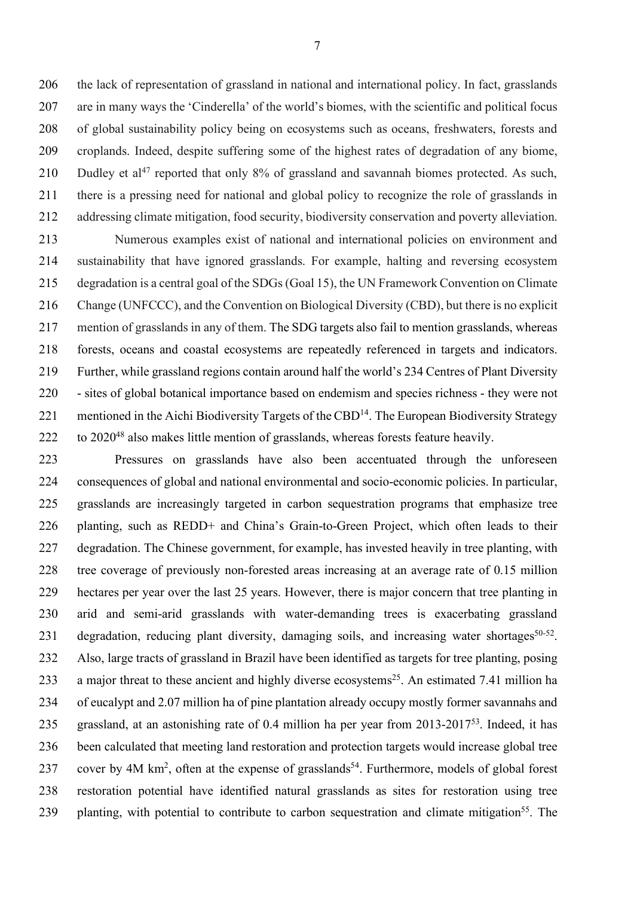the lack of representation of grassland in national and international policy. In fact, grasslands are in many ways the 'Cinderella' of the world's biomes, with the scientific and political focus of global sustainability policy being on ecosystems such as oceans, freshwaters, forests and croplands. Indeed, despite suffering some of the highest rates of degradation of any biome, 210 Dudley et al<sup>47</sup> reported that only  $8\%$  of grassland and savannah biomes protected. As such, there is a pressing need for national and global policy to recognize the role of grasslands in addressing climate mitigation, food security, biodiversity conservation and poverty alleviation.

 Numerous examples exist of national and international policies on environment and sustainability that have ignored grasslands. For example, halting and reversing ecosystem degradation is a central goal of the SDGs (Goal 15), the UN Framework Convention on Climate Change (UNFCCC), and the Convention on Biological Diversity (CBD), but there is no explicit mention of grasslands in any of them. The SDG targets also fail to mention grasslands, whereas forests, oceans and coastal ecosystems are repeatedly referenced in targets and indicators. Further, while grassland regions contain around half the world's 234 Centres of Plant Diversity - sites of global botanical importance based on endemism and species richness - they were not 221 mentioned in the Aichi Biodiversity Targets of the CBD<sup>14</sup>. The European Biodiversity Strategy to  $2020^{48}$  also makes little mention of grasslands, whereas forests feature heavily.

 Pressures on grasslands have also been accentuated through the unforeseen consequences of global and national environmental and socio-economic policies. In particular, grasslands are increasingly targeted in carbon sequestration programs that emphasize tree planting, such as REDD+ and China's Grain-to-Green Project, which often leads to their degradation. The Chinese government, for example, has invested heavily in tree planting, with tree coverage of previously non-forested areas increasing at an average rate of 0.15 million hectares per year over the last 25 years. However, there is major concern that tree planting in arid and semi-arid grasslands with water-demanding trees is exacerbating grassland 231 degradation, reducing plant diversity, damaging soils, and increasing water shortages<sup>50-52</sup>. Also, large tracts of grassland in Brazil have been identified as targets for tree planting, posing 233 a major threat to these ancient and highly diverse ecosystems<sup>25</sup>. An estimated 7.41 million ha of eucalypt and 2.07 million ha of pine plantation already occupy mostly former savannahs and 235 grassland, at an astonishing rate of 0.4 million ha per year from 2013-2017<sup>53</sup>. Indeed, it has been calculated that meeting land restoration and protection targets would increase global tree 237 cover by 4M km<sup>2</sup>, often at the expense of grasslands<sup>54</sup>. Furthermore, models of global forest restoration potential have identified natural grasslands as sites for restoration using tree 239 planting, with potential to contribute to carbon sequestration and climate mitigation<sup>55</sup>. The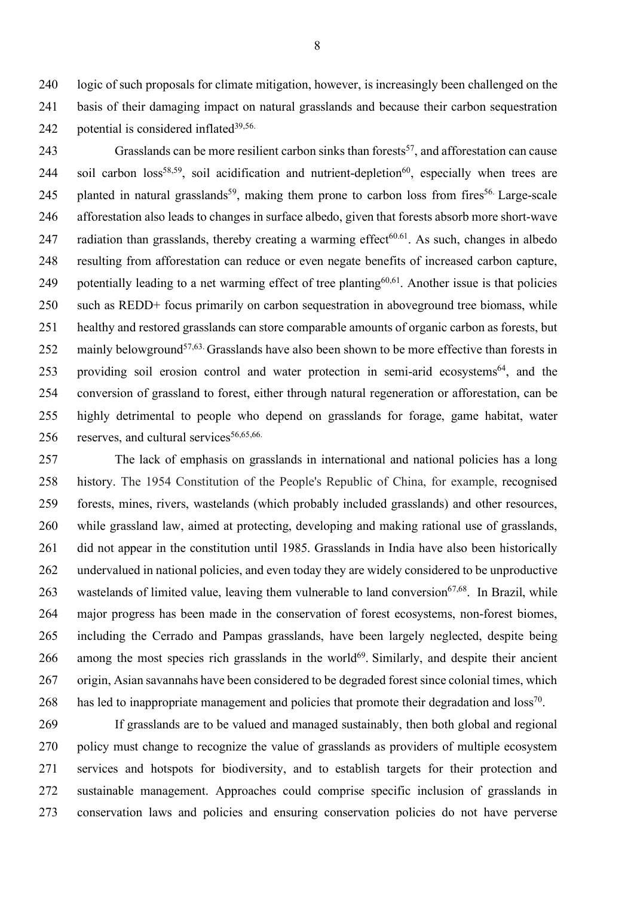logic of such proposals for climate mitigation, however, is increasingly been challenged on the basis of their damaging impact on natural grasslands and because their carbon sequestration 242 potential is considered inflated $39,56$ .

Grasslands can be more resilient carbon sinks than forests<sup>57</sup>, and afforestation can cause 244 soil carbon  $loss^{58,59}$ , soil acidification and nutrient-depletion<sup>60</sup>, especially when trees are 245 planted in natural grasslands<sup>59</sup>, making them prone to carbon loss from fires<sup>56.</sup> Large-scale afforestation also leads to changes in surface albedo, given that forests absorb more short-wave 247 radiation than grasslands, thereby creating a warming effect<sup> $60.61$ </sup>. As such, changes in albedo resulting from afforestation can reduce or even negate benefits of increased carbon capture, 249 potentially leading to a net warming effect of tree planting<sup>60,61</sup>. Another issue is that policies such as REDD+ focus primarily on carbon sequestration in aboveground tree biomass, while healthy and restored grasslands can store comparable amounts of organic carbon as forests, but 252 mainly belowground<sup>57,63.</sup> Grasslands have also been shown to be more effective than forests in 253 providing soil erosion control and water protection in semi-arid ecosystems<sup>64</sup>, and the conversion of grassland to forest, either through natural regeneration or afforestation, can be highly detrimental to people who depend on grasslands for forage, game habitat, water 256 reserves, and cultural services $56,65,66$ .

 The lack of emphasis on grasslands in international and national policies has a long history. The 1954 Constitution of the People's Republic of China, for example, recognised forests, mines, rivers, wastelands (which probably included grasslands) and other resources, while grassland law, aimed at protecting, developing and making rational use of grasslands, did not appear in the constitution until 1985. Grasslands in India have also been historically undervalued in national policies, and even today they are widely considered to be unproductive 263 wastelands of limited value, leaving them vulnerable to land conversion $67,68$ . In Brazil, while major progress has been made in the conservation of forest ecosystems, non-forest biomes, including the Cerrado and Pampas grasslands, have been largely neglected, despite being among the most species rich grasslands in the world<sup>69</sup>. Similarly, and despite their ancient origin, Asian savannahs have been considered to be degraded forest since colonial times, which 268 has led to inappropriate management and policies that promote their degradation and  $loss^{70}$ .

 If grasslands are to be valued and managed sustainably, then both global and regional policy must change to recognize the value of grasslands as providers of multiple ecosystem services and hotspots for biodiversity, and to establish targets for their protection and sustainable management. Approaches could comprise specific inclusion of grasslands in conservation laws and policies and ensuring conservation policies do not have perverse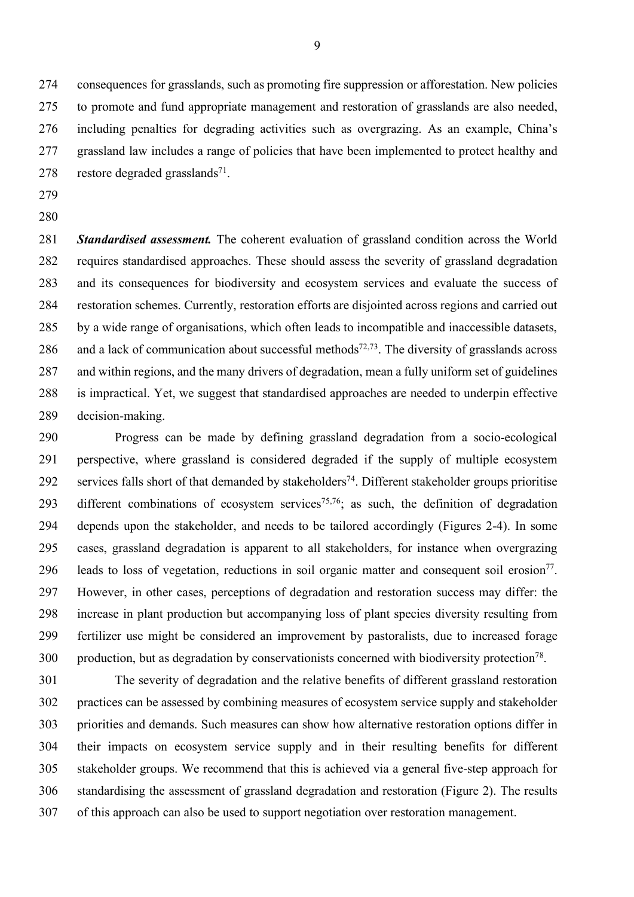consequences for grasslands, such as promoting fire suppression or afforestation. New policies to promote and fund appropriate management and restoration of grasslands are also needed, including penalties for degrading activities such as overgrazing. As an example, China's grassland law includes a range of policies that have been implemented to protect healthy and 278 restore degraded grasslands<sup>71</sup>.

- 
- 

 *Standardised assessment.* The coherent evaluation of grassland condition across the World requires standardised approaches. These should assess the severity of grassland degradation and its consequences for biodiversity and ecosystem services and evaluate the success of restoration schemes. Currently, restoration efforts are disjointed across regions and carried out by a wide range of organisations, which often leads to incompatible and inaccessible datasets, 286 and a lack of communication about successful methods<sup> $72,73$ </sup>. The diversity of grasslands across and within regions, and the many drivers of degradation, mean a fully uniform set of guidelines is impractical. Yet, we suggest that standardised approaches are needed to underpin effective decision-making.

 Progress can be made by defining grassland degradation from a socio-ecological perspective, where grassland is considered degraded if the supply of multiple ecosystem 292 services falls short of that demanded by stakeholders<sup>74</sup>. Different stakeholder groups prioritise 293 different combinations of ecosystem services<sup>75,76</sup>; as such, the definition of degradation depends upon the stakeholder, and needs to be tailored accordingly (Figures 2-4). In some cases, grassland degradation is apparent to all stakeholders, for instance when overgrazing 296 leads to loss of vegetation, reductions in soil organic matter and consequent soil erosion<sup>77</sup>. However, in other cases, perceptions of degradation and restoration success may differ: the increase in plant production but accompanying loss of plant species diversity resulting from fertilizer use might be considered an improvement by pastoralists, due to increased forage 300 . production, but as degradation by conservationists concerned with biodiversity protection<sup>78</sup>.

 The severity of degradation and the relative benefits of different grassland restoration practices can be assessed by combining measures of ecosystem service supply and stakeholder priorities and demands. Such measures can show how alternative restoration options differ in their impacts on ecosystem service supply and in their resulting benefits for different stakeholder groups. We recommend that this is achieved via a general five-step approach for standardising the assessment of grassland degradation and restoration (Figure 2). The results of this approach can also be used to support negotiation over restoration management.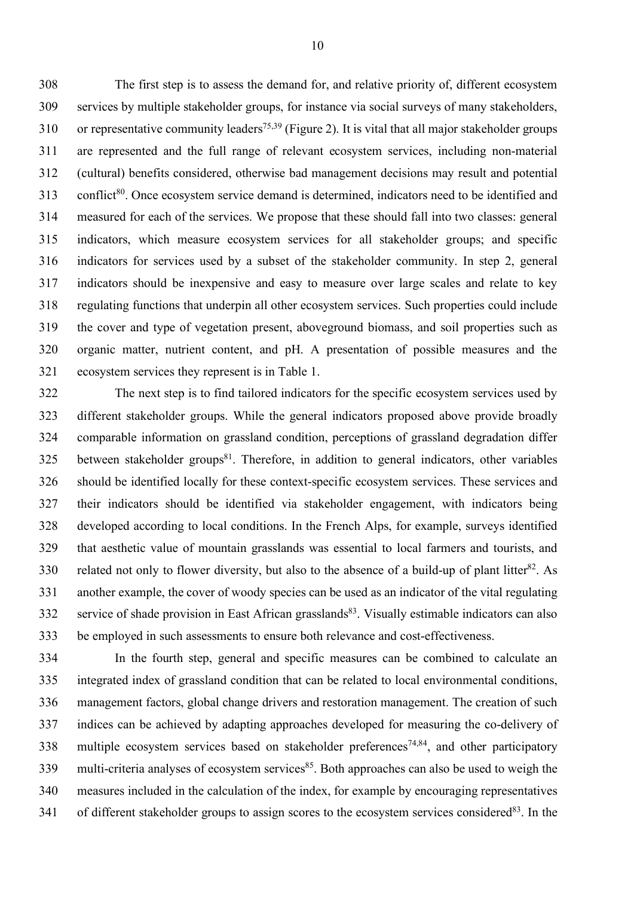The first step is to assess the demand for, and relative priority of, different ecosystem services by multiple stakeholder groups, for instance via social surveys of many stakeholders, 310 or representative community leaders<sup>75,39</sup> (Figure 2). It is vital that all major stakeholder groups are represented and the full range of relevant ecosystem services, including non-material (cultural) benefits considered, otherwise bad management decisions may result and potential 313 conflict<sup>80</sup>. Once ecosystem service demand is determined, indicators need to be identified and measured for each of the services. We propose that these should fall into two classes: general indicators, which measure ecosystem services for all stakeholder groups; and specific indicators for services used by a subset of the stakeholder community. In step 2, general indicators should be inexpensive and easy to measure over large scales and relate to key regulating functions that underpin all other ecosystem services. Such properties could include the cover and type of vegetation present, aboveground biomass, and soil properties such as organic matter, nutrient content, and pH. A presentation of possible measures and the ecosystem services they represent is in Table 1.

 The next step is to find tailored indicators for the specific ecosystem services used by different stakeholder groups. While the general indicators proposed above provide broadly comparable information on grassland condition, perceptions of grassland degradation differ between stakeholder groups<sup>81</sup>. Therefore, in addition to general indicators, other variables should be identified locally for these context-specific ecosystem services. These services and their indicators should be identified via stakeholder engagement, with indicators being developed according to local conditions. In the French Alps, for example, surveys identified that aesthetic value of mountain grasslands was essential to local farmers and tourists, and 330 related not only to flower diversity, but also to the absence of a build-up of plant litter<sup>82</sup>. As another example, the cover of woody species can be used as an indicator of the vital regulating 332 service of shade provision in East African grasslands<sup>83</sup>. Visually estimable indicators can also be employed in such assessments to ensure both relevance and cost-effectiveness.

 In the fourth step, general and specific measures can be combined to calculate an integrated index of grassland condition that can be related to local environmental conditions, management factors, global change drivers and restoration management. The creation of such indices can be achieved by adapting approaches developed for measuring the co-delivery of 338 multiple ecosystem services based on stakeholder preferences<sup>74,84</sup>, and other participatory 339 multi-criteria analyses of ecosystem services<sup>85</sup>. Both approaches can also be used to weigh the measures included in the calculation of the index, for example by encouraging representatives 341 of different stakeholder groups to assign scores to the ecosystem services considered<sup>83</sup>. In the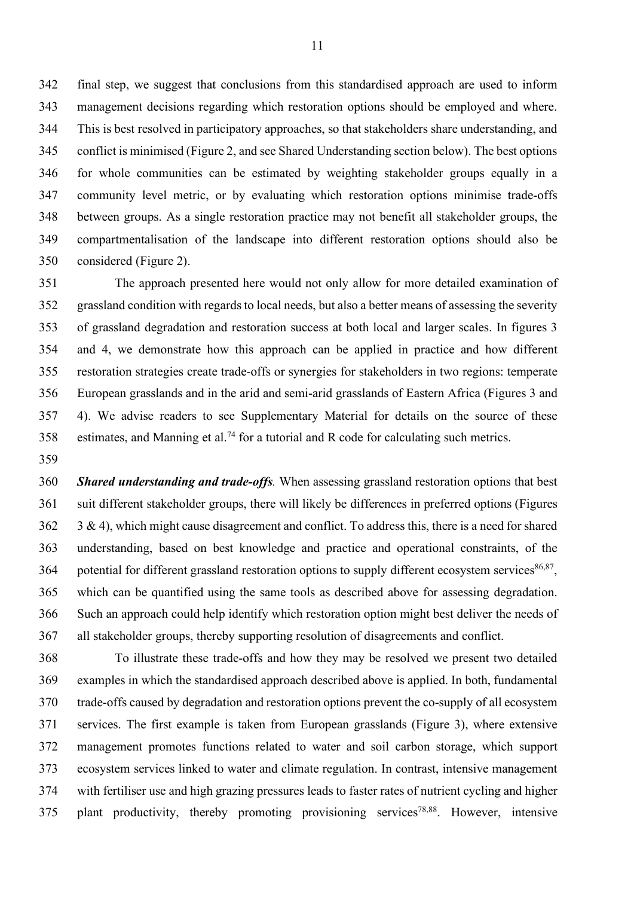final step, we suggest that conclusions from this standardised approach are used to inform management decisions regarding which restoration options should be employed and where. This is best resolved in participatory approaches, so that stakeholders share understanding, and conflict is minimised (Figure 2, and see Shared Understanding section below). The best options for whole communities can be estimated by weighting stakeholder groups equally in a community level metric, or by evaluating which restoration options minimise trade-offs between groups. As a single restoration practice may not benefit all stakeholder groups, the compartmentalisation of the landscape into different restoration options should also be considered (Figure 2).

 The approach presented here would not only allow for more detailed examination of grassland condition with regards to local needs, but also a better means of assessing the severity of grassland degradation and restoration success at both local and larger scales. In figures 3 and 4, we demonstrate how this approach can be applied in practice and how different restoration strategies create trade-offs or synergies for stakeholders in two regions: temperate European grasslands and in the arid and semi-arid grasslands of Eastern Africa (Figures 3 and 4). We advise readers to see Supplementary Material for details on the source of these 358 estimates, and Manning et al.<sup>74</sup> for a tutorial and R code for calculating such metrics.

 *Shared understanding and trade-offs.* When assessing grassland restoration options that best suit different stakeholder groups, there will likely be differences in preferred options (Figures 3 & 4), which might cause disagreement and conflict. To address this, there is a need for shared understanding, based on best knowledge and practice and operational constraints, of the 364 potential for different grassland restoration options to supply different ecosystem services $86,87$ , which can be quantified using the same tools as described above for assessing degradation. Such an approach could help identify which restoration option might best deliver the needs of all stakeholder groups, thereby supporting resolution of disagreements and conflict.

 To illustrate these trade-offs and how they may be resolved we present two detailed examples in which the standardised approach described above is applied. In both, fundamental trade-offs caused by degradation and restoration options prevent the co-supply of all ecosystem services. The first example is taken from European grasslands (Figure 3), where extensive management promotes functions related to water and soil carbon storage, which support ecosystem services linked to water and climate regulation. In contrast, intensive management with fertiliser use and high grazing pressures leads to faster rates of nutrient cycling and higher plant productivity, thereby promoting provisioning services<sup>78,88</sup>. However, intensive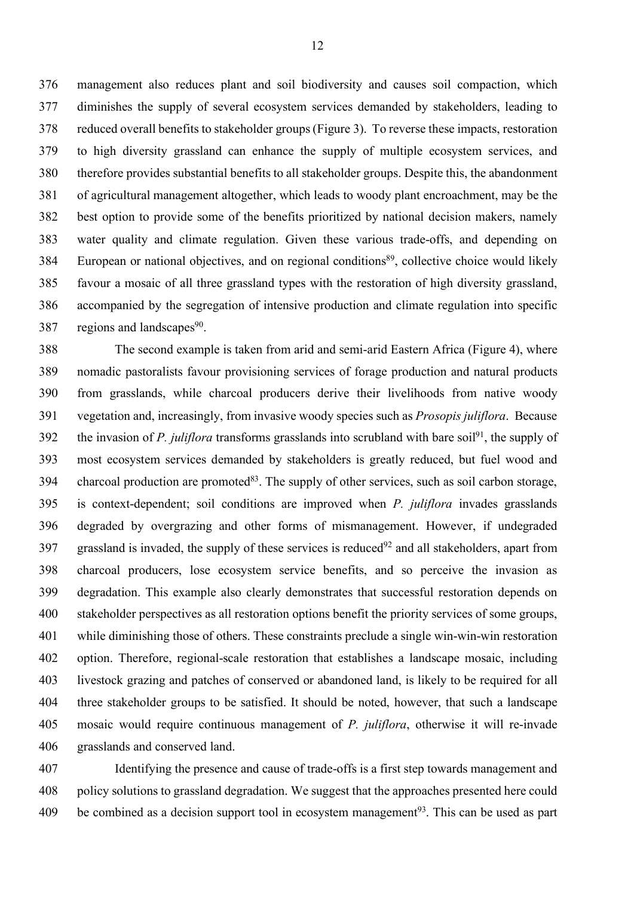management also reduces plant and soil biodiversity and causes soil compaction, which diminishes the supply of several ecosystem services demanded by stakeholders, leading to reduced overall benefits to stakeholder groups(Figure 3). To reverse these impacts, restoration to high diversity grassland can enhance the supply of multiple ecosystem services, and therefore provides substantial benefits to all stakeholder groups. Despite this, the abandonment of agricultural management altogether, which leads to woody plant encroachment, may be the best option to provide some of the benefits prioritized by national decision makers, namely water quality and climate regulation. Given these various trade-offs, and depending on 384 European or national objectives, and on regional conditions<sup>89</sup>, collective choice would likely favour a mosaic of all three grassland types with the restoration of high diversity grassland, accompanied by the segregation of intensive production and climate regulation into specific 387 regions and landscapes.

 The second example is taken from arid and semi-arid Eastern Africa (Figure 4), where nomadic pastoralists favour provisioning services of forage production and natural products from grasslands, while charcoal producers derive their livelihoods from native woody vegetation and, increasingly, from invasive woody species such as *Prosopis juliflora*. Because the invasion of *P. juliflora* transforms grasslands into scrubland with bare soil<sup>91</sup>, the supply of most ecosystem services demanded by stakeholders is greatly reduced, but fuel wood and 394 charcoal production are promoted<sup>83</sup>. The supply of other services, such as soil carbon storage, is context-dependent; soil conditions are improved when *P. juliflora* invades grasslands degraded by overgrazing and other forms of mismanagement. However, if undegraded grassland is invaded, the supply of these services is reduced<sup>92</sup> and all stakeholders, apart from charcoal producers, lose ecosystem service benefits, and so perceive the invasion as degradation. This example also clearly demonstrates that successful restoration depends on stakeholder perspectives as all restoration options benefit the priority services of some groups, while diminishing those of others. These constraints preclude a single win-win-win restoration option. Therefore, regional-scale restoration that establishes a landscape mosaic, including livestock grazing and patches of conserved or abandoned land, is likely to be required for all three stakeholder groups to be satisfied. It should be noted, however, that such a landscape mosaic would require continuous management of *P. juliflora*, otherwise it will re-invade grasslands and conserved land.

 Identifying the presence and cause of trade-offs is a first step towards management and policy solutions to grassland degradation. We suggest that the approaches presented here could 409 be combined as a decision support tool in ecosystem management<sup>93</sup>. This can be used as part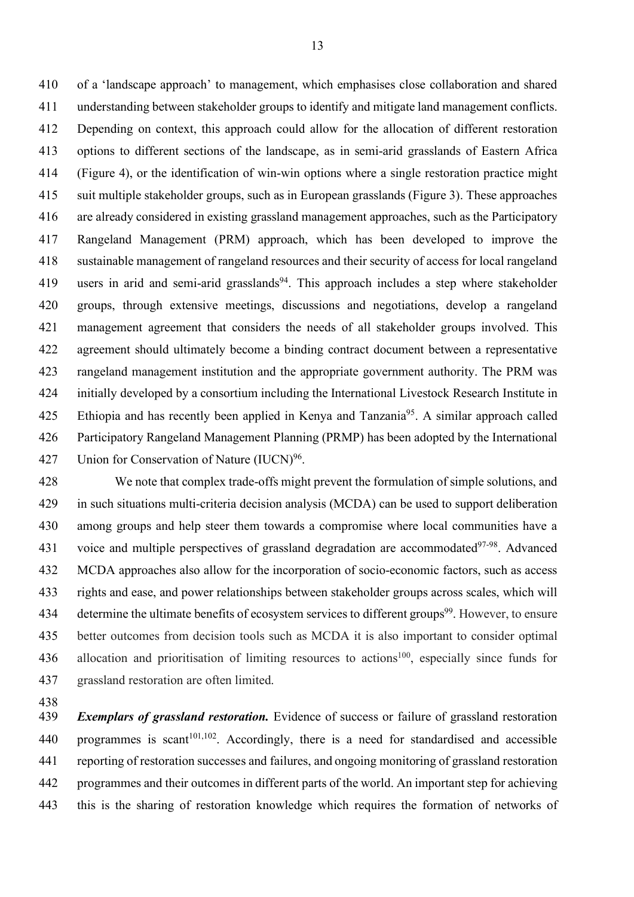of a 'landscape approach' to management, which emphasises close collaboration and shared understanding between stakeholder groups to identify and mitigate land management conflicts. Depending on context, this approach could allow for the allocation of different restoration options to different sections of the landscape, as in semi-arid grasslands of Eastern Africa (Figure 4), or the identification of win-win options where a single restoration practice might suit multiple stakeholder groups, such as in European grasslands (Figure 3). These approaches are already considered in existing grassland management approaches, such as the Participatory Rangeland Management (PRM) approach, which has been developed to improve the sustainable management of rangeland resources and their security of access for local rangeland 419 users in arid and semi-arid grasslands<sup>94</sup>. This approach includes a step where stakeholder groups, through extensive meetings, discussions and negotiations, develop a rangeland management agreement that considers the needs of all stakeholder groups involved. This agreement should ultimately become a binding contract document between a representative rangeland management institution and the appropriate government authority. The PRM was initially developed by a consortium including the International Livestock Research Institute in 425 Ethiopia and has recently been applied in Kenya and Tanzania<sup>95</sup>. A similar approach called Participatory Rangeland Management Planning (PRMP) has been adopted by the International 427 Union for Conservation of Nature  $(IUCN)^{96}$ .

 We note that complex trade-offs might prevent the formulation of simple solutions, and in such situations multi-criteria decision analysis (MCDA) can be used to support deliberation among groups and help steer them towards a compromise where local communities have a 431 voice and multiple perspectives of grassland degradation are accommodated $97-98$ . Advanced MCDA approaches also allow for the incorporation of socio-economic factors, such as access rights and ease, and power relationships between stakeholder groups across scales, which will 434 determine the ultimate benefits of ecosystem services to different groups<sup>99</sup>. However, to ensure better outcomes from decision tools such as MCDA it is also important to consider optimal 436 allocation and prioritisation of limiting resources to actions<sup>100</sup>, especially since funds for grassland restoration are often limited.

 *Exemplars of grassland restoration.* Evidence of success or failure of grassland restoration 440 programmes is scant<sup>101,102</sup>. Accordingly, there is a need for standardised and accessible reporting of restoration successes and failures, and ongoing monitoring of grassland restoration programmes and their outcomes in different parts of the world. An important step for achieving this is the sharing of restoration knowledge which requires the formation of networks of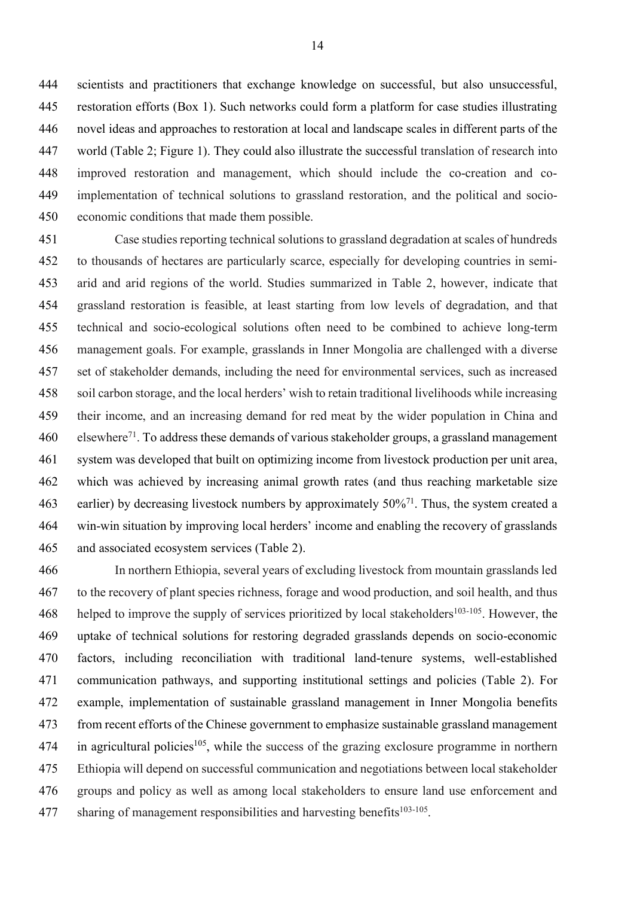scientists and practitioners that exchange knowledge on successful, but also unsuccessful, restoration efforts (Box 1). Such networks could form a platform for case studies illustrating novel ideas and approaches to restoration at local and landscape scales in different parts of the world (Table 2; Figure 1). They could also illustrate the successful translation of research into improved restoration and management, which should include the co-creation and co- implementation of technical solutions to grassland restoration, and the political and socio-economic conditions that made them possible.

 Case studies reporting technical solutions to grassland degradation at scales of hundreds to thousands of hectares are particularly scarce, especially for developing countries in semi- arid and arid regions of the world. Studies summarized in Table 2, however, indicate that grassland restoration is feasible, at least starting from low levels of degradation, and that technical and socio-ecological solutions often need to be combined to achieve long-term management goals. For example, grasslands in Inner Mongolia are challenged with a diverse set of stakeholder demands, including the need for environmental services, such as increased soil carbon storage, and the local herders' wish to retain traditional livelihoods while increasing their income, and an increasing demand for red meat by the wider population in China and 460 elsewhere<sup>71</sup>. To address these demands of various stakeholder groups, a grassland management system was developed that built on optimizing income from livestock production per unit area, which was achieved by increasing animal growth rates (and thus reaching marketable size 463 earlier) by decreasing livestock numbers by approximately  $50\frac{1}{1}$ . Thus, the system created a win-win situation by improving local herders' income and enabling the recovery of grasslands and associated ecosystem services (Table 2).

 In northern Ethiopia, several years of excluding livestock from mountain grasslands led to the recovery of plant species richness, forage and wood production, and soil health, and thus 468 helped to improve the supply of services prioritized by local stakeholders<sup>103-105</sup>. However, the uptake of technical solutions for restoring degraded grasslands depends on socio-economic factors, including reconciliation with traditional land-tenure systems, well-established communication pathways, and supporting institutional settings and policies (Table 2). For example, implementation of sustainable grassland management in Inner Mongolia benefits from recent efforts of the Chinese government to emphasize sustainable grassland management in agricultural policies<sup>105</sup>, while the success of the grazing exclosure programme in northern Ethiopia will depend on successful communication and negotiations between local stakeholder groups and policy as well as among local stakeholders to ensure land use enforcement and 477 sharing of management responsibilities and harvesting benefits<sup>103-105</sup>.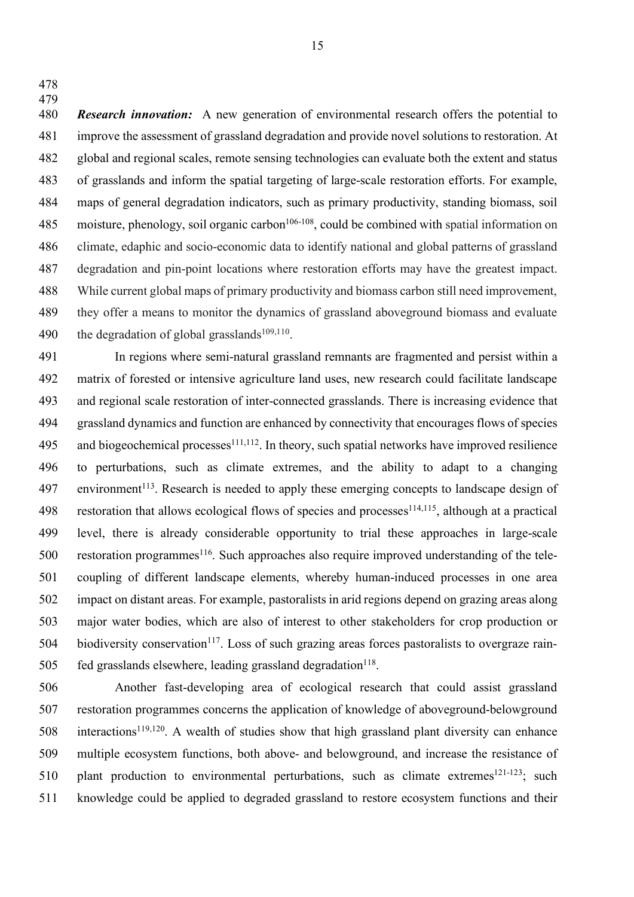*Research innovation:* A new generation of environmental research offers the potential to improve the assessment of grassland degradation and provide novel solutions to restoration. At global and regional scales, remote sensing technologies can evaluate both the extent and status of grasslands and inform the spatial targeting of large-scale restoration efforts. For example, maps of general degradation indicators, such as primary productivity, standing biomass, soil 485 moisture, phenology, soil organic carbon<sup>106-108</sup>, could be combined with spatial information on climate, edaphic and socio-economic data to identify national and global patterns of grassland degradation and pin-point locations where restoration efforts may have the greatest impact. While current global maps of primary productivity and biomass carbon still need improvement, they offer a means to monitor the dynamics of grassland aboveground biomass and evaluate 490 the degradation of global grasslands<sup>109,110</sup>.

 In regions where semi-natural grassland remnants are fragmented and persist within a matrix of forested or intensive agriculture land uses, new research could facilitate landscape and regional scale restoration of inter-connected grasslands. There is increasing evidence that grassland dynamics and function are enhanced by connectivity that encourages flows of species 495 and biogeochemical processes<sup>111,112</sup>. In theory, such spatial networks have improved resilience to perturbations, such as climate extremes, and the ability to adapt to a changing environment<sup>113</sup>. Research is needed to apply these emerging concepts to landscape design of 498 restoration that allows ecological flows of species and processes<sup>114,115</sup>, although at a practical level, there is already considerable opportunity to trial these approaches in large-scale 500 restoration programmes<sup>116</sup>. Such approaches also require improved understanding of the tele- coupling of different landscape elements, whereby human-induced processes in one area impact on distant areas. For example, pastoralists in arid regions depend on grazing areas along major water bodies, which are also of interest to other stakeholders for crop production or biodiversity conservation<sup>117</sup>. Loss of such grazing areas forces pastoralists to overgraze rain-fed grasslands elsewhere, leading grassland degradation<sup>118</sup>.

 Another fast-developing area of ecological research that could assist grassland restoration programmes concerns the application of knowledge of aboveground-belowground interactions<sup>119,120</sup>. A wealth of studies show that high grassland plant diversity can enhance multiple ecosystem functions, both above- and belowground, and increase the resistance of 510 plant production to environmental perturbations, such as climate extremes<sup>121-123</sup>; such knowledge could be applied to degraded grassland to restore ecosystem functions and their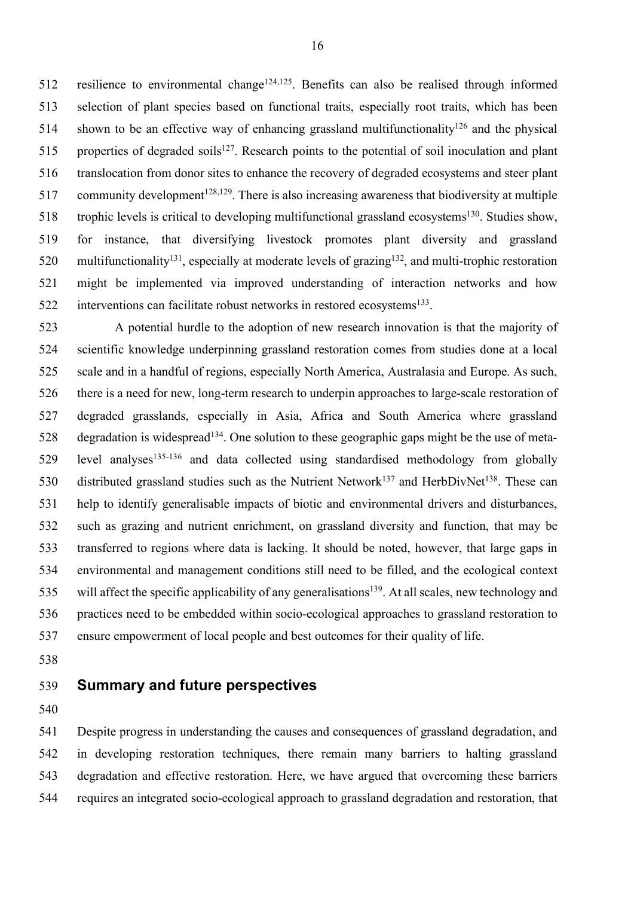512 resilience to environmental change<sup>124,125</sup>. Benefits can also be realised through informed selection of plant species based on functional traits, especially root traits, which has been 514 shown to be an effective way of enhancing grassland multifunctionality<sup>126</sup> and the physical 515 properties of degraded soils<sup>127</sup>. Research points to the potential of soil inoculation and plant translocation from donor sites to enhance the recovery of degraded ecosystems and steer plant 517 community development<sup>128,129</sup>. There is also increasing awareness that biodiversity at multiple 518 trophic levels is critical to developing multifunctional grassland ecosystems<sup>130</sup>. Studies show, for instance, that diversifying livestock promotes plant diversity and grassland 520 multifunctionality<sup>131</sup>, especially at moderate levels of grazing<sup>132</sup>, and multi-trophic restoration might be implemented via improved understanding of interaction networks and how interventions can facilitate robust networks in restored ecosystems<sup>133</sup>.

 A potential hurdle to the adoption of new research innovation is that the majority of scientific knowledge underpinning grassland restoration comes from studies done at a local scale and in a handful of regions, especially North America, Australasia and Europe. As such, there is a need for new, long-term research to underpin approaches to large-scale restoration of degraded grasslands, especially in Asia, Africa and South America where grassland 528 degradation is widespread<sup>134</sup>. One solution to these geographic gaps might be the use of meta- level analyses<sup>135-136</sup> and data collected using standardised methodology from globally 530 distributed grassland studies such as the Nutrient Network<sup>137</sup> and HerbDivNet<sup>138</sup>. These can help to identify generalisable impacts of biotic and environmental drivers and disturbances, such as grazing and nutrient enrichment, on grassland diversity and function, that may be transferred to regions where data is lacking. It should be noted, however, that large gaps in environmental and management conditions still need to be filled, and the ecological context 535 will affect the specific applicability of any generalisations<sup>139</sup>. At all scales, new technology and practices need to be embedded within socio-ecological approaches to grassland restoration to ensure empowerment of local people and best outcomes for their quality of life.

# **Summary and future perspectives**

 Despite progress in understanding the causes and consequences of grassland degradation, and in developing restoration techniques, there remain many barriers to halting grassland degradation and effective restoration. Here, we have argued that overcoming these barriers requires an integrated socio-ecological approach to grassland degradation and restoration, that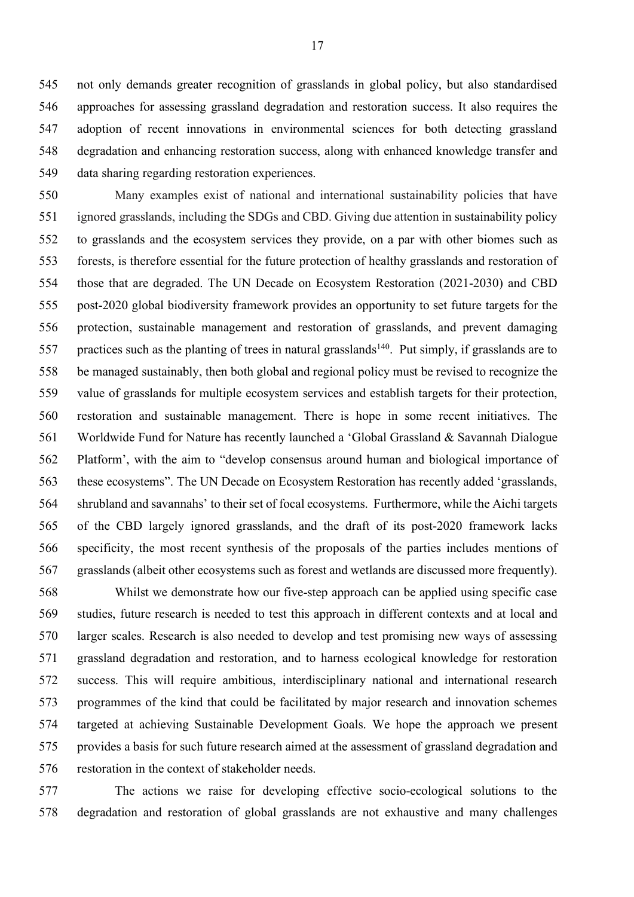not only demands greater recognition of grasslands in global policy, but also standardised approaches for assessing grassland degradation and restoration success. It also requires the adoption of recent innovations in environmental sciences for both detecting grassland degradation and enhancing restoration success, along with enhanced knowledge transfer and data sharing regarding restoration experiences.

 Many examples exist of national and international sustainability policies that have ignored grasslands, including the SDGs and CBD. Giving due attention in sustainability policy to grasslands and the ecosystem services they provide, on a par with other biomes such as forests, is therefore essential for the future protection of healthy grasslands and restoration of those that are degraded. The UN Decade on Ecosystem Restoration (2021-2030) and CBD post-2020 global biodiversity framework provides an opportunity to set future targets for the protection, sustainable management and restoration of grasslands, and prevent damaging 557 practices such as the planting of trees in natural grasslands<sup>140</sup>. Put simply, if grasslands are to be managed sustainably, then both global and regional policy must be revised to recognize the value of grasslands for multiple ecosystem services and establish targets for their protection, restoration and sustainable management. There is hope in some recent initiatives. The Worldwide Fund for Nature has recently launched a 'Global Grassland & Savannah Dialogue Platform', with the aim to "develop consensus around human and biological importance of these ecosystems". The UN Decade on Ecosystem Restoration has recently added 'grasslands, shrubland and savannahs' to their set of focal ecosystems. Furthermore, while the Aichi targets of the CBD largely ignored grasslands, and the draft of its post-2020 framework lacks specificity, the most recent synthesis of the proposals of the parties includes mentions of grasslands (albeit other ecosystems such as forest and wetlands are discussed more frequently).

 Whilst we demonstrate how our five-step approach can be applied using specific case studies, future research is needed to test this approach in different contexts and at local and larger scales. Research is also needed to develop and test promising new ways of assessing grassland degradation and restoration, and to harness ecological knowledge for restoration success. This will require ambitious, interdisciplinary national and international research programmes of the kind that could be facilitated by major research and innovation schemes targeted at achieving Sustainable Development Goals. We hope the approach we present provides a basis for such future research aimed at the assessment of grassland degradation and restoration in the context of stakeholder needs.

 The actions we raise for developing effective socio-ecological solutions to the degradation and restoration of global grasslands are not exhaustive and many challenges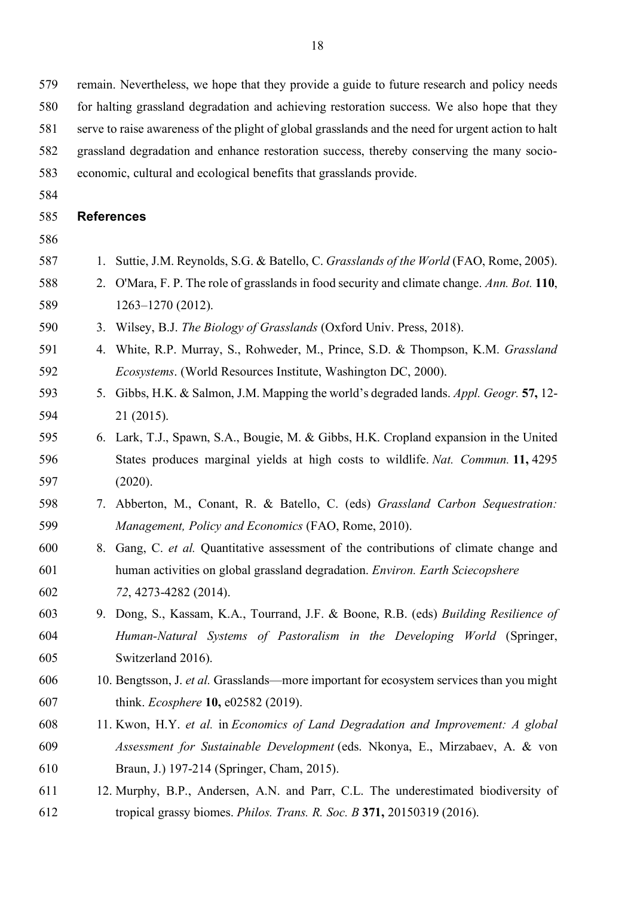for halting grassland degradation and achieving restoration success. We also hope that they serve to raise awareness of the plight of global grasslands and the need for urgent action to halt

- grassland degradation and enhance restoration success, thereby conserving the many socio-
- economic, cultural and ecological benefits that grasslands provide.
- 

## **References**

- 
- 1. Suttie, J.M. Reynolds, S.G. & Batello, C. *Grasslands of the World* (FAO, Rome, 2005).
- 2. O'Mara, F. P. The role of grasslands in food security and climate change. *Ann. Bot.* **110**, 1263–1270 (2012).

3. Wilsey, B.J. *The Biology of Grasslands* (Oxford Univ. Press, 2018).

- 4. White, R.P. Murray, S., Rohweder, M., Prince, S.D. & Thompson, K.M. *Grassland Ecosystems*. (World Resources Institute, Washington DC, 2000).
- 5. Gibbs, H.K. & Salmon, J.M. Mapping the world's degraded lands. *Appl. Geogr.* **57,** 12- 21 (2015).
- 6. Lark, T.J., Spawn, S.A., Bougie, M. & Gibbs, H.K. Cropland expansion in the United States produces marginal yields at high costs to wildlife. *Nat. Commun.* **11,** 4295 (2020).
- 7. Abberton, M., Conant, R. & Batello, C. (eds) *Grassland Carbon Sequestration: Management, Policy and Economics* (FAO, Rome, 2010).
- 8. Gang, C. *et al.* Quantitative assessment of the contributions of climate change and human activities on global grassland degradation. *Environ. Earth Sciecopshere 72*, 4273-4282 (2014).
- 9. Dong, S., Kassam, K.A., Tourrand, J.F. & Boone, R.B. (eds) *Building Resilience of Human-Natural Systems of Pastoralism in the Developing World* (Springer, Switzerland 2016).
- 10. Bengtsson, J. *et al.* Grasslands—more important for ecosystem services than you might think. *Ecosphere* **10,** e02582 (2019).
- 11. Kwon, H.Y. *et al.* in *Economics of Land Degradation and Improvement: A global Assessment for Sustainable Development* (eds. Nkonya, E., Mirzabaev, A. & von Braun, J.) 197-214 (Springer, Cham, 2015).
- 12. Murphy, B.P., Andersen, A.N. and Parr, C.L. The underestimated biodiversity of tropical grassy biomes. *Philos. Trans. R. Soc. B* **371,** 20150319 (2016).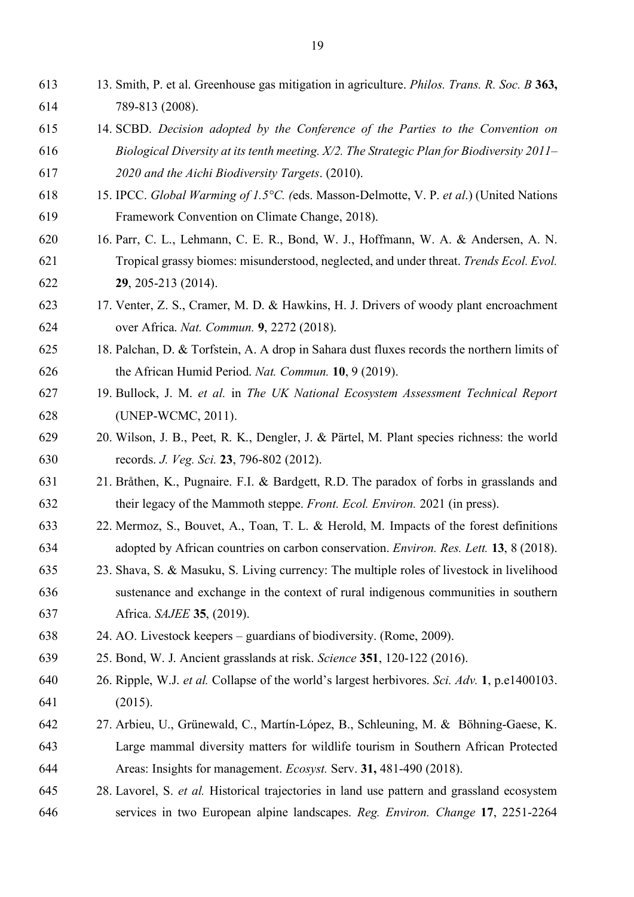- 13. Smith, P. et al. Greenhouse gas mitigation in agriculture. *Philos. Trans. R. Soc. B* **363,** 789-813 (2008).
- 14. SCBD. *Decision adopted by the Conference of the Parties to the Convention on Biological Diversity at its tenth meeting. X/2. The Strategic Plan for Biodiversity 2011*– *2020 and the Aichi Biodiversity Targets*. (2010).
- 15. IPCC. *Global Warming of 1.5°C. (*eds. Masson-Delmotte, V. P. *et al*.) (United Nations Framework Convention on Climate Change, 2018).
- 16. Parr, C. L., Lehmann, C. E. R., Bond, W. J., Hoffmann, W. A. & Andersen, A. N. Tropical grassy biomes: misunderstood, neglected, and under threat. *Trends Ecol. Evol.* **29**, 205-213 (2014).
- 17. Venter, Z. S., Cramer, M. D. & Hawkins, H. J. Drivers of woody plant encroachment over Africa. *Nat. Commun.* **9**, 2272 (2018).
- 18. Palchan, D. & Torfstein, A. A drop in Sahara dust fluxes records the northern limits of the African Humid Period. *Nat. Commun.* **10**, 9 (2019).
- 19. Bullock, J. M. *et al.* in *The UK National Ecosystem Assessment Technical Report* (UNEP-WCMC, 2011).
- 20. Wilson, J. B., Peet, R. K., Dengler, J. & Pärtel, M. Plant species richness: the world records. *J. Veg. Sci.* **23**, 796-802 (2012).
- 21. Bråthen, K., Pugnaire. F.I. & Bardgett, R.D. The paradox of forbs in grasslands and their legacy of the Mammoth steppe. *Front. Ecol. Environ.* 2021 (in press).
- 22. Mermoz, S., Bouvet, A., Toan, T. L. & Herold, M. Impacts of the forest definitions adopted by African countries on carbon conservation. *Environ. Res. Lett.* **13**, 8 (2018).
- 23. Shava, S. & Masuku, S. Living currency: The multiple roles of livestock in livelihood sustenance and exchange in the context of rural indigenous communities in southern Africa. *SAJEE* **35**, (2019).
- 24. AO. Livestock keepers guardians of biodiversity. (Rome, 2009).
- 25. Bond, W. J. Ancient grasslands at risk. *Science* **351**, 120-122 (2016).
- 26. Ripple, W.J. *et al.* Collapse of the world's largest herbivores. *Sci. Adv.* **1**, p.e1400103. (2015).
- 27. Arbieu, U., Grünewald, C., Martín-López, B., Schleuning, M. & Böhning-Gaese, K. Large mammal diversity matters for wildlife tourism in Southern African Protected Areas: Insights for management. *Ecosyst.* Serv. **31,** 481-490 (2018).
- 28. Lavorel, S. *et al.* Historical trajectories in land use pattern and grassland ecosystem services in two European alpine landscapes. *Reg. Environ. Change* **17**, 2251-2264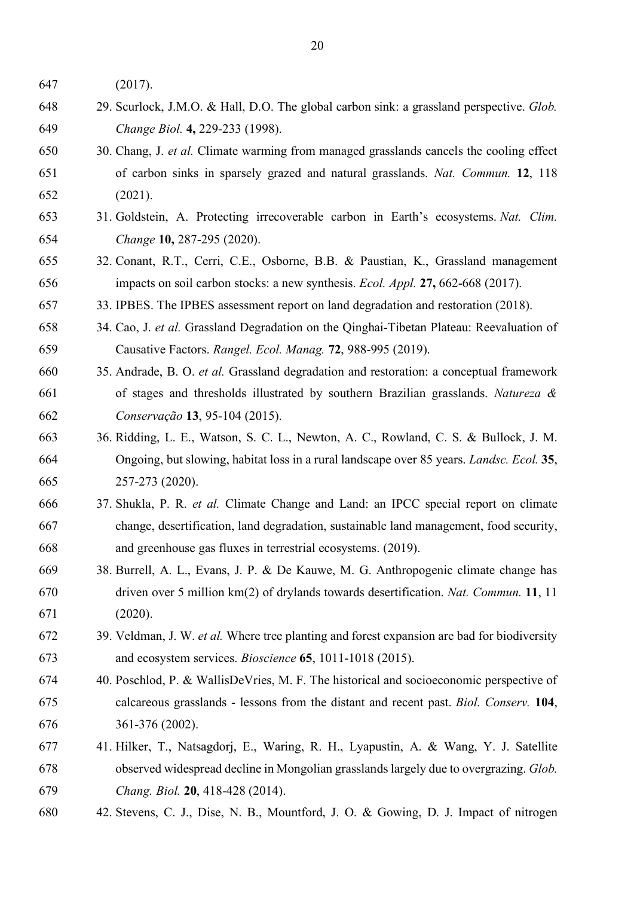(2017).

- 29. Scurlock, J.M.O. & Hall, D.O. The global carbon sink: a grassland perspective. *Glob. Change Biol.* **4,** 229-233 (1998).
- 30. Chang, J. *et al.* Climate warming from managed grasslands cancels the cooling effect of carbon sinks in sparsely grazed and natural grasslands. *Nat. Commun.* **12**, 118 (2021).
- 31. Goldstein, A. Protecting irrecoverable carbon in Earth's ecosystems. *Nat. Clim. Change* **10,** 287-295 (2020).
- 32. Conant, R.T., Cerri, C.E., Osborne, B.B. & Paustian, K., Grassland management impacts on soil carbon stocks: a new synthesis. *Ecol. Appl.* **27,** 662-668 (2017).
- 33. IPBES. The IPBES assessment report on land degradation and restoration (2018).
- 34. Cao, J. *et al.* Grassland Degradation on the Qinghai-Tibetan Plateau: Reevaluation of Causative Factors. *Rangel. Ecol. Manag.* **72**, 988-995 (2019).
- 35. Andrade, B. O. *et al.* Grassland degradation and restoration: a conceptual framework of stages and thresholds illustrated by southern Brazilian grasslands. *Natureza & Conservação* **13**, 95-104 (2015).
- 36. Ridding, L. E., Watson, S. C. L., Newton, A. C., Rowland, C. S. & Bullock, J. M. Ongoing, but slowing, habitat loss in a rural landscape over 85 years. *Landsc. Ecol.* **35**, 257-273 (2020).
- 37. Shukla, P. R. *et al.* Climate Change and Land: an IPCC special report on climate change, desertification, land degradation, sustainable land management, food security, and greenhouse gas fluxes in terrestrial ecosystems. (2019).
- 38. Burrell, A. L., Evans, J. P. & De Kauwe, M. G. Anthropogenic climate change has driven over 5 million km(2) of drylands towards desertification. *Nat. Commun.* **11**, 11 (2020).
- 39. Veldman, J. W. *et al.* Where tree planting and forest expansion are bad for biodiversity and ecosystem services. *Bioscience* **65**, 1011-1018 (2015).
- 40. Poschlod, P. & WallisDeVries, M. F. The historical and socioeconomic perspective of calcareous grasslands - lessons from the distant and recent past. *Biol. Conserv.* **104**, 361-376 (2002).
- 41. Hilker, T., Natsagdorj, E., Waring, R. H., Lyapustin, A. & Wang, Y. J. Satellite observed widespread decline in Mongolian grasslands largely due to overgrazing. *Glob. Chang. Biol.* **20**, 418-428 (2014).
- 42. Stevens, C. J., Dise, N. B., Mountford, J. O. & Gowing, D. J. Impact of nitrogen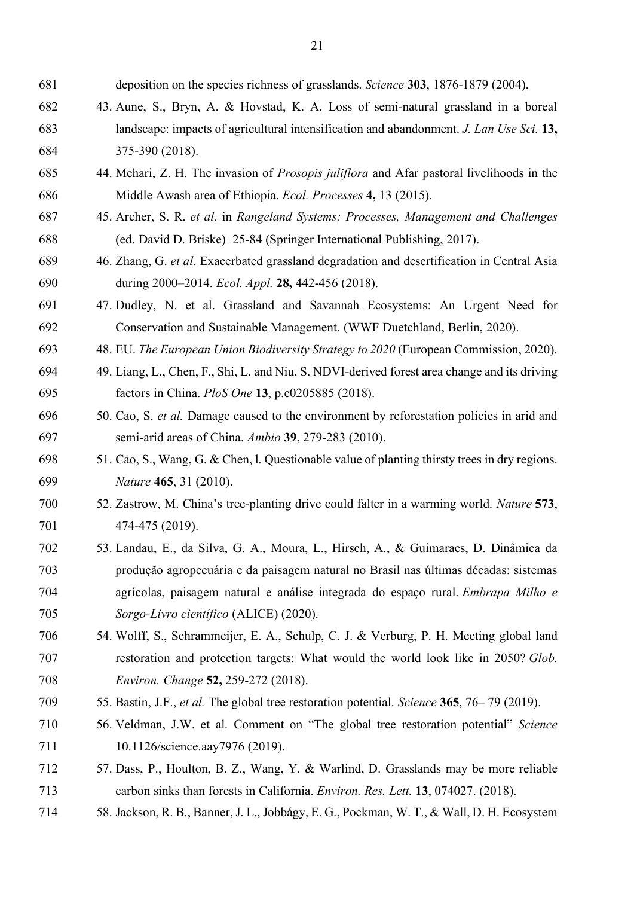deposition on the species richness of grasslands. *Science* **303**, 1876-1879 (2004). 43. Aune, S., Bryn, A. & Hovstad, K. A. Loss of semi-natural grassland in a boreal landscape: impacts of agricultural intensification and abandonment. *J. Lan Use Sci.* **13,** 375-390 (2018). 44. Mehari, Z. H. The invasion of *Prosopis juliflora* and Afar pastoral livelihoods in the Middle Awash area of Ethiopia. *Ecol. Processes* **4,** 13 (2015). 45. Archer, S. R. *et al.* in *Rangeland Systems: Processes, Management and Challenges* (ed. David D. Briske) 25-84 (Springer International Publishing, 2017). 46. Zhang, G. *et al.* Exacerbated grassland degradation and desertification in Central Asia during 2000–2014. *Ecol. Appl.* **28,** 442-456 (2018). 47. Dudley, N. et al. Grassland and Savannah Ecosystems: An Urgent Need for Conservation and Sustainable Management. (WWF Duetchland, Berlin, 2020). 48. EU. *The European Union Biodiversity Strategy to 2020* (European Commission, 2020). 49. Liang, L., Chen, F., Shi, L. and Niu, S. NDVI-derived forest area change and its driving factors in China. *PloS One* **13**, p.e0205885 (2018). 50. Cao, S. *et al.* Damage caused to the environment by reforestation policies in arid and semi-arid areas of China. *Ambio* **39**, 279-283 (2010). 51. Cao, S., Wang, G. & Chen, l. Questionable value of planting thirsty trees in dry regions. *Nature* **465**, 31 (2010). 52. Zastrow, M. China's tree-planting drive could falter in a warming world. *Nature* **573**, 474-475 (2019). 53. Landau, E., da Silva, G. A., Moura, L., Hirsch, A., & Guimaraes, D. Dinâmica da produção agropecuária e da paisagem natural no Brasil nas últimas décadas: sistemas agrícolas, paisagem natural e análise integrada do espaço rural. *Embrapa Milho e Sorgo-Livro científico* (ALICE) (2020). 54. Wolff, S., Schrammeijer, E. A., Schulp, C. J. & Verburg, P. H. Meeting global land restoration and protection targets: What would the world look like in 2050? *Glob. Environ. Change* **52,** 259-272 (2018). 55. Bastin, J.F., *et al.* The global tree restoration potential. *Science* **365**, 76– 79 (2019). 56. Veldman, J.W. et al. Comment on "The global tree restoration potential" *Science* 711 10.1126/science.aay7976 (2019). 57. Dass, P., Houlton, B. Z., Wang, Y. & Warlind, D. Grasslands may be more reliable carbon sinks than forests in California. *Environ. Res. Lett.* **13**, 074027. (2018). 58. Jackson, R. B., Banner, J. L., Jobbágy, E. G., Pockman, W. T., & Wall, D. H. Ecosystem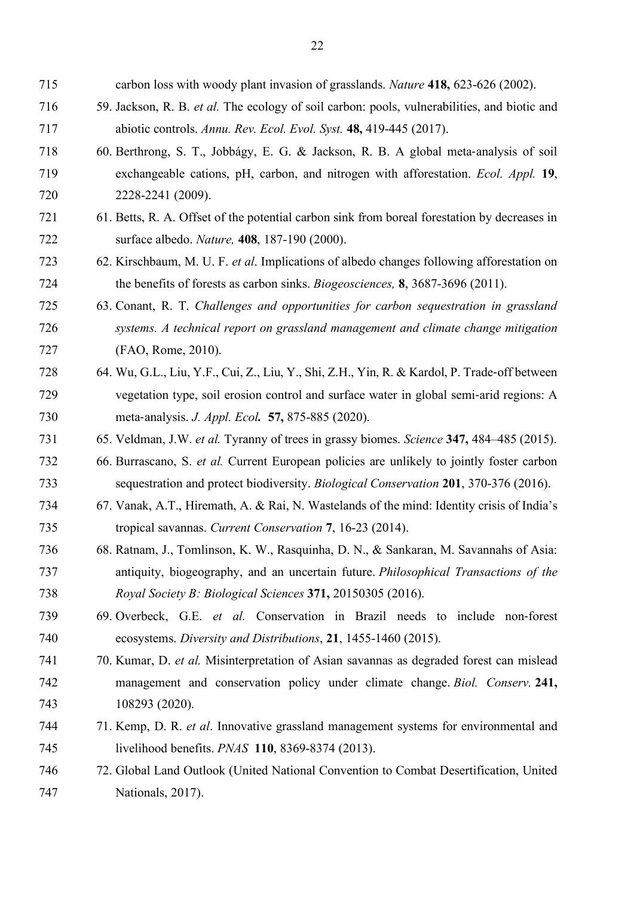carbon loss with woody plant invasion of grasslands. *Nature* **418,** 623-626 (2002). 59. Jackson, R. B. *et al.* The ecology of soil carbon: pools, vulnerabilities, and biotic and abiotic controls. *Annu. Rev. Ecol. Evol. Syst.* **48,** 419-445 (2017). 60. Berthrong, S. T., Jobbágy, E. G. & Jackson, R. B. A global meta-analysis of soil exchangeable cations, pH, carbon, and nitrogen with afforestation. *Ecol. Appl.* **19**, 2228-2241 (2009). 61. Betts, R. A. Offset of the potential carbon sink from boreal forestation by decreases in surface albedo. *Nature,* **408**, 187-190 (2000). 62. Kirschbaum, M. U. F. *et al*. Implications of albedo changes following afforestation on the benefits of forests as carbon sinks. *Biogeosciences,* **8**, 3687-3696 (2011). 63. Conant, R. T. *Challenges and opportunities for carbon sequestration in grassland systems. A technical report on grassland management and climate change mitigation*  (FAO, Rome, 2010). 64. Wu, G.L., Liu, Y.F., Cui, Z., Liu, Y., Shi, Z.H., Yin, R. & Kardol, P. Trade-off between vegetation type, soil erosion control and surface water in global semi-arid regions: A meta-analysis. *J. Appl. Ecol.* **57,** 875-885 (2020). 65. Veldman, J.W. *et al.* Tyranny of trees in grassy biomes. *Science* **347,** 484–485 (2015). 66. Burrascano, S. *et al.* Current European policies are unlikely to jointly foster carbon sequestration and protect biodiversity. *Biological Conservation* **201**, 370-376 (2016). 67. Vanak, A.T., Hiremath, A. & Rai, N. Wastelands of the mind: Identity crisis of India's tropical savannas. *Current Conservation* **7**, 16-23 (2014). 68. Ratnam, J., Tomlinson, K. W., Rasquinha, D. N., & Sankaran, M. Savannahs of Asia: antiquity, biogeography, and an uncertain future. *Philosophical Transactions of the Royal Society B: Biological Sciences* **371,** 20150305 (2016). 69. Overbeck, G.E. *et al.* Conservation in Brazil needs to include non-forest ecosystems. *Diversity and Distributions*, **21**, 1455-1460 (2015). 70. Kumar, D. *et al.* Misinterpretation of Asian savannas as degraded forest can mislead management and conservation policy under climate change. *Biol. Conserv.* **241,** 108293 (2020). 71. Kemp, D. R. *et al*. Innovative grassland management systems for environmental and livelihood benefits. *PNAS* **110**, 8369-8374 (2013). 72. Global Land Outlook (United National Convention to Combat Desertification, United Nationals, 2017).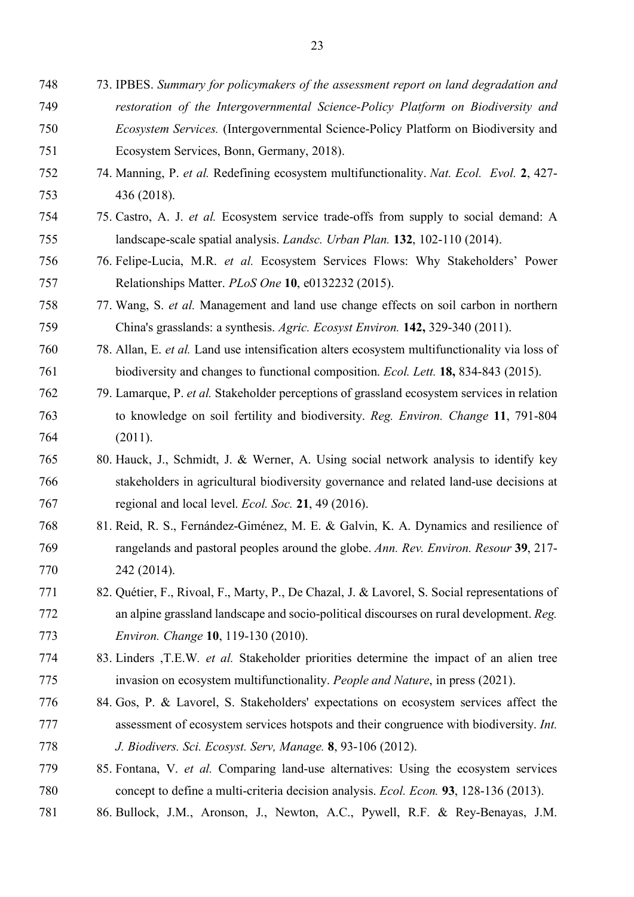- 74. Manning, P. *et al.* Redefining ecosystem multifunctionality. *Nat. Ecol. Evol.* **2**, 427- 436 (2018).
- 75. Castro, A. J. *et al.* Ecosystem service trade-offs from supply to social demand: A landscape-scale spatial analysis. *Landsc. Urban Plan.* **132**, 102-110 (2014).
- 76. Felipe-Lucia, M.R. *et al.* Ecosystem Services Flows: Why Stakeholders' Power Relationships Matter. *PLoS One* **10**, e0132232 (2015).
- 77. Wang, S. *et al.* Management and land use change effects on soil carbon in northern China's grasslands: a synthesis. *Agric. Ecosyst Environ.* **142,** 329-340 (2011).
- 78. Allan, E. *et al.* Land use intensification alters ecosystem multifunctionality via loss of biodiversity and changes to functional composition. *Ecol. Lett.* **18,** 834-843 (2015).
- 79. Lamarque, P. *et al.* Stakeholder perceptions of grassland ecosystem services in relation to knowledge on soil fertility and biodiversity. *Reg. Environ. Change* **11**, 791-804 (2011).
- 80. Hauck, J., Schmidt, J. & Werner, A. Using social network analysis to identify key stakeholders in agricultural biodiversity governance and related land-use decisions at regional and local level. *Ecol. Soc.* **21**, 49 (2016).
- 81. Reid, R. S., Fernández-Giménez, M. E. & Galvin, K. A. Dynamics and resilience of rangelands and pastoral peoples around the globe. *Ann. Rev. Environ. Resour* **39**, 217- 242 (2014).
- 82. Quétier, F., Rivoal, F., Marty, P., De Chazal, J. & Lavorel, S. Social representations of an alpine grassland landscape and socio-political discourses on rural development. *Reg. Environ. Change* **10**, 119-130 (2010).
- 83. Linders ,T.E.W*. et al.* Stakeholder priorities determine the impact of an alien tree invasion on ecosystem multifunctionality. *People and Nature*, in press (2021).
- 84. Gos, P. & Lavorel, S. Stakeholders' expectations on ecosystem services affect the assessment of ecosystem services hotspots and their congruence with biodiversity. *Int. J. Biodivers. Sci. Ecosyst. Serv, Manage.* **8**, 93-106 (2012).
- 85. Fontana, V. *et al.* Comparing land-use alternatives: Using the ecosystem services concept to define a multi-criteria decision analysis. *Ecol. Econ.* **93**, 128-136 (2013).
- 86. Bullock, J.M., Aronson, J., Newton, A.C., Pywell, R.F. & Rey-Benayas, J.M.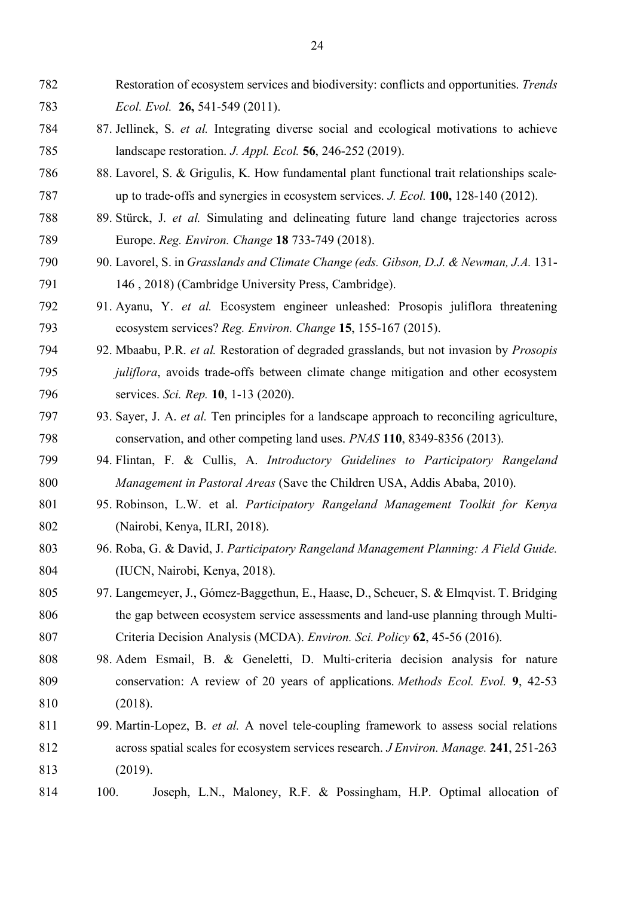- Restoration of ecosystem services and biodiversity: conflicts and opportunities. *Trends Ecol. Evol.* **26,** 541-549 (2011).
- 87. Jellinek, S. *et al.* Integrating diverse social and ecological motivations to achieve landscape restoration. *J. Appl. Ecol.* **56**, 246-252 (2019).
- 88. Lavorel, S. & Grigulis, K. How fundamental plant functional trait relationships scale-up to trade-offs and synergies in ecosystem services. *J. Ecol.* **100,** 128-140 (2012).
- 89. Stürck, J. *et al.* Simulating and delineating future land change trajectories across Europe. *Reg. Environ. Change* **18** 733-749 (2018).
- 90. Lavorel, S. in *Grasslands and Climate Change (eds. Gibson, D.J. & Newman, J.A.* 131- 146 , 2018) (Cambridge University Press, Cambridge).
- 91. Ayanu, Y. *et al.* Ecosystem engineer unleashed: Prosopis juliflora threatening ecosystem services? *Reg. Environ. Change* **15**, 155-167 (2015).
- 92. Mbaabu, P.R. *et al.* Restoration of degraded grasslands, but not invasion by *Prosopis juliflora*, avoids trade-offs between climate change mitigation and other ecosystem services. *Sci. Rep.* **10**, 1-13 (2020).
- 93. Sayer, J. A. *et al.* Ten principles for a landscape approach to reconciling agriculture, conservation, and other competing land uses. *PNAS* **110**, 8349-8356 (2013).
- 94. Flintan, F. & Cullis, A. *Introductory Guidelines to Participatory Rangeland Management in Pastoral Areas* (Save the Children USA, Addis Ababa, 2010).
- 95. Robinson, L.W. et al. *Participatory Rangeland Management Toolkit for Kenya* (Nairobi, Kenya, ILRI, 2018).
- 96. Roba, G. & David, J. *Participatory Rangeland Management Planning: A Field Guide.*  (IUCN, Nairobi, Kenya, 2018).
- 97. Langemeyer, J., Gómez-Baggethun, E., Haase, D., Scheuer, S. & Elmqvist. T. Bridging the gap between ecosystem service assessments and land-use planning through Multi-Criteria Decision Analysis (MCDA). *Environ. Sci. Policy* **62**, 45-56 (2016).
- 98. Adem Esmail, B. & Geneletti, D. Multi-criteria decision analysis for nature conservation: A review of 20 years of applications. *Methods Ecol. Evol.* **9**, 42-53 (2018).
- 99. Martin-Lopez, B. *et al.* A novel tele-coupling framework to assess social relations across spatial scales for ecosystem services research. *J Environ. Manage.* **241**, 251-263 (2019).
- 100. Joseph, L.N., Maloney, R.F. & Possingham, H.P. Optimal allocation of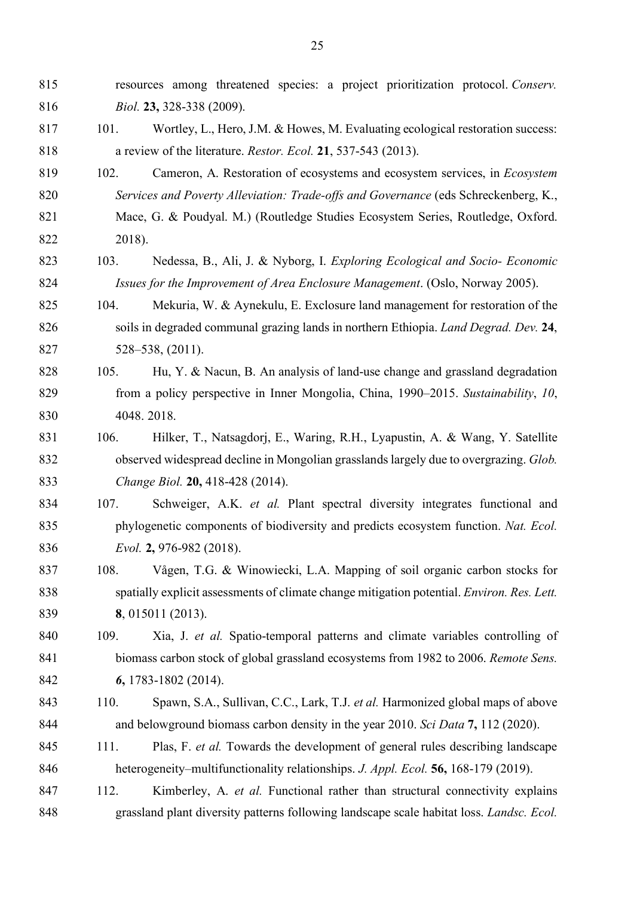resources among threatened species: a project prioritization protocol. *Conserv. Biol.* **23,** 328-338 (2009).

- 817 101. Wortley, L., Hero, J.M. & Howes, M. Evaluating ecological restoration success: a review of the literature. *Restor. Ecol.* **21**, 537-543 (2013).
- 102. Cameron, A. Restoration of ecosystems and ecosystem services, in *Ecosystem Services and Poverty Alleviation: Trade-offs and Governance* (eds Schreckenberg, K.,
- Mace, G. & Poudyal. M.) (Routledge Studies Ecosystem Series, Routledge, Oxford. 2018).
- 103. Nedessa, B., Ali, J. & Nyborg, I. *Exploring Ecological and Socio- Economic Issues for the Improvement of Area Enclosure Management*. (Oslo, Norway 2005).
- 104. Mekuria, W. & Aynekulu, E. Exclosure land management for restoration of the soils in degraded communal grazing lands in northern Ethiopia. *Land Degrad. Dev.* **24**, 528–538, (2011).
- 105. Hu, Y. & Nacun, B. An analysis of land-use change and grassland degradation from a policy perspective in Inner Mongolia, China, 1990–2015. *Sustainability*, *10*, 4048. 2018.
- 106. Hilker, T., Natsagdorj, E., Waring, R.H., Lyapustin, A. & Wang, Y. Satellite observed widespread decline in Mongolian grasslands largely due to overgrazing. *Glob. Change Biol.* **20,** 418-428 (2014).
- 107. Schweiger, A.K. *et al.* Plant spectral diversity integrates functional and phylogenetic components of biodiversity and predicts ecosystem function. *Nat. Ecol. Evol.* **2,** 976-982 (2018).
- 108. Vågen, T.G. & Winowiecki, L.A. Mapping of soil organic carbon stocks for spatially explicit assessments of climate change mitigation potential. *Environ. Res. Lett.* **8**, 015011 (2013).
- 109. Xia, J. *et al.* Spatio-temporal patterns and climate variables controlling of biomass carbon stock of global grassland ecosystems from 1982 to 2006. *Remote Sens. 6***,** 1783-1802 (2014).
- 110. Spawn, S.A., Sullivan, C.C., Lark, T.J. *et al.* Harmonized global maps of above and belowground biomass carbon density in the year 2010. *Sci Data* **7,** 112 (2020).
- 111. Plas, F. *et al.* Towards the development of general rules describing landscape heterogeneity–multifunctionality relationships. *J. Appl. Ecol.* **56,** 168-179 (2019).
- 112. Kimberley, A. *et al.* Functional rather than structural connectivity explains grassland plant diversity patterns following landscape scale habitat loss. *Landsc. Ecol.*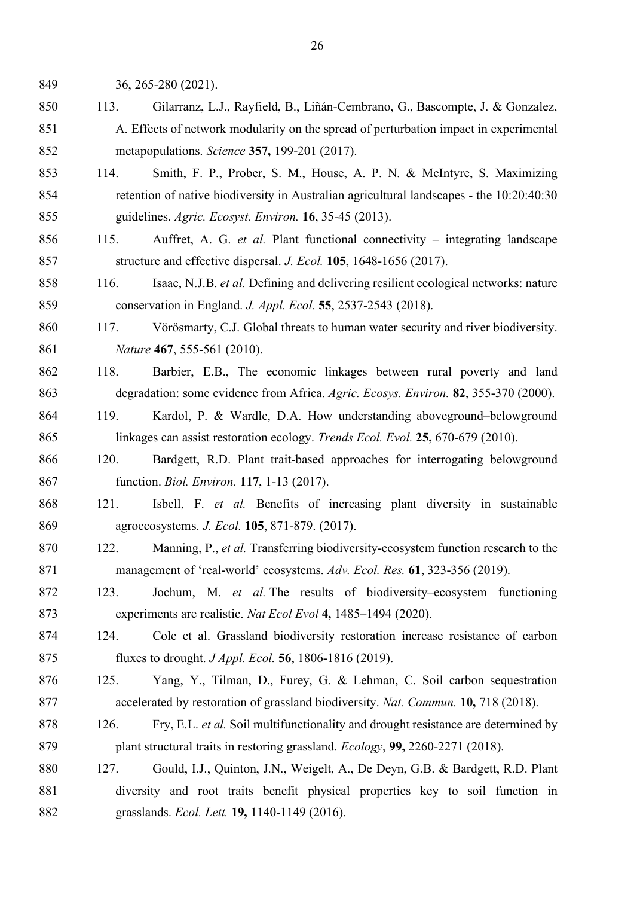36, 265-280 (2021).

- 113. Gilarranz, L.J., Rayfield, B., Liñán-Cembrano, G., Bascompte, J. & Gonzalez, A. Effects of network modularity on the spread of perturbation impact in experimental metapopulations. *Science* **357,** 199-201 (2017).
- 114. Smith, F. P., Prober, S. M., House, A. P. N. & McIntyre, S. Maximizing retention of native biodiversity in Australian agricultural landscapes - the 10:20:40:30 guidelines. *Agric. Ecosyst. Environ.* **16**, 35-45 (2013).
- 115. Auffret, A. G. *et al.* Plant functional connectivity integrating landscape structure and effective dispersal. *J. Ecol.* **105**, 1648-1656 (2017).
- 116. Isaac, N.J.B. *et al.* Defining and delivering resilient ecological networks: nature conservation in England. *J. Appl. Ecol.* **55**, 2537-2543 (2018).
- 117. Vörösmarty, C.J. Global threats to human water security and river biodiversity. *Nature* **467**, 555-561 (2010).
- 118. Barbier, E.B., The economic linkages between rural poverty and land degradation: some evidence from Africa. *Agric. Ecosys. Environ.* **82**, 355-370 (2000).
- 119. Kardol, P. & Wardle, D.A. How understanding aboveground–belowground linkages can assist restoration ecology. *Trends Ecol. Evol.* **25,** 670-679 (2010).
- 120. Bardgett, R.D. Plant trait-based approaches for interrogating belowground function. *Biol. Environ.* **117**, 1-13 (2017).
- 121. Isbell, F. *et al.* Benefits of increasing plant diversity in sustainable agroecosystems. *J. Ecol.* **105**, 871-879. (2017).
- 122. Manning, P., *et al.* Transferring biodiversity-ecosystem function research to the management of 'real-world' ecosystems. *Adv. Ecol. Res.* **61**, 323-356 (2019).
- 123. Jochum, M. *et al.* The results of biodiversity–ecosystem functioning experiments are realistic. *Nat Ecol Evol* **4,** 1485–1494 (2020).
- 124. Cole et al. Grassland biodiversity restoration increase resistance of carbon fluxes to drought. *J Appl. Ecol.* **56**, 1806-1816 (2019).
- 125. Yang, Y., Tilman, D., Furey, G. & Lehman, C. Soil carbon sequestration accelerated by restoration of grassland biodiversity. *Nat. Commun.* **10,** 718 (2018).
- 126. Fry, E.L. *et al.* Soil multifunctionality and drought resistance are determined by plant structural traits in restoring grassland. *Ecology*, **99,** 2260-2271 (2018).
- 127. Gould, I.J., Quinton, J.N., Weigelt, A., De Deyn, G.B. & Bardgett, R.D. Plant diversity and root traits benefit physical properties key to soil function in grasslands. *Ecol. Lett.* **19,** 1140-1149 (2016).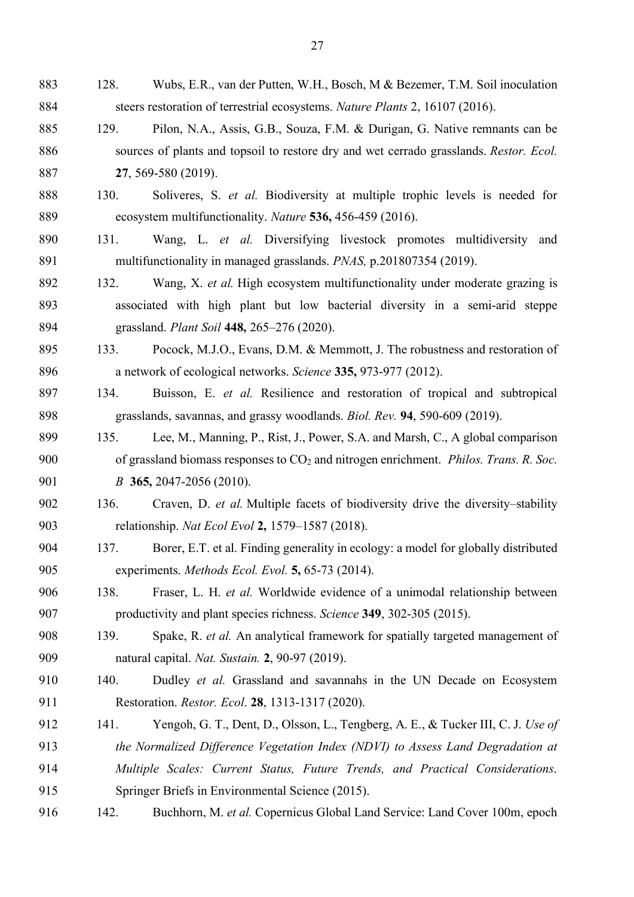- 128. Wubs, E.R., van der Putten, W.H., Bosch, M & Bezemer, T.M. Soil inoculation steers restoration of terrestrial ecosystems. *Nature Plants* 2, 16107 (2016).
- 129. Pilon, N.A., Assis, G.B., Souza, F.M. & Durigan, G. Native remnants can be sources of plants and topsoil to restore dry and wet cerrado grasslands. *Restor. Ecol.* **27**, 569-580 (2019).
- 130. Soliveres, S. *et al.* Biodiversity at multiple trophic levels is needed for ecosystem multifunctionality. *Nature* **536,** 456-459 (2016).
- 131. Wang, L. *et al.* Diversifying livestock promotes multidiversity and multifunctionality in managed grasslands. *PNAS,* p.201807354 (2019).
- 132. Wang, X. *et al.* High ecosystem multifunctionality under moderate grazing is associated with high plant but low bacterial diversity in a semi-arid steppe grassland. *Plant Soil* **448,** 265–276 (2020).
- 133. Pocock, M.J.O., Evans, D.M. & Memmott, J. The robustness and restoration of a network of ecological networks. *Science* **335,** 973-977 (2012).
- 134. Buisson, E. *et al.* Resilience and restoration of tropical and subtropical grasslands, savannas, and grassy woodlands. *Biol. Rev.* **94**, 590-609 (2019).
- 135. Lee, M., Manning, P., Rist, J., Power, S.A. and Marsh, C., A global comparison of grassland biomass responses to CO2 and nitrogen enrichment. *Philos. Trans. R. Soc. B* **365,** 2047-2056 (2010).
- 136. Craven, D. *et al.* Multiple facets of biodiversity drive the diversity–stability relationship. *Nat Ecol Evol* **2,** 1579–1587 (2018).
- 137. Borer, E.T. et al. Finding generality in ecology: a model for globally distributed experiments. *Methods Ecol. Evol.* **5,** 65-73 (2014).
- 138. Fraser, L. H. *et al.* Worldwide evidence of a unimodal relationship between productivity and plant species richness. *Science* **349**, 302-305 (2015).
- 139. Spake, R. *et al.* An analytical framework for spatially targeted management of natural capital. *Nat. Sustain.* **2**, 90-97 (2019).
- 140. Dudley *et al.* Grassland and savannahs in the UN Decade on Ecosystem Restoration. *Restor. Ecol*. **28**, 1313-1317 (2020).
- 141. Yengoh, G. T., Dent, D., Olsson, L., Tengberg, A. E., & Tucker III, C. J. *Use of*
- *the Normalized Difference Vegetation Index (NDVI) to Assess Land Degradation at*
- *Multiple Scales: Current Status, Future Trends, and Practical Considerations*.
- Springer Briefs in Environmental Science (2015).
- 142. Buchhorn, M. *et al.* Copernicus Global Land Service: Land Cover 100m, epoch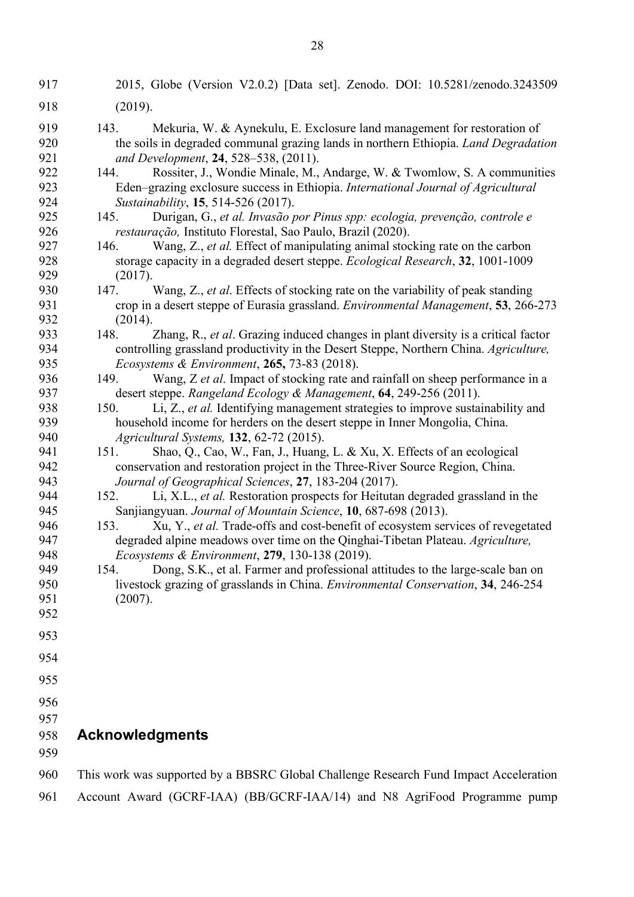- 2015, Globe (Version V2.0.2) [Data set]. Zenodo. DOI: 10.5281/zenodo.3243509
- (2019).
- 143. Mekuria, W. & Aynekulu, E. Exclosure land management for restoration of the soils in degraded communal grazing lands in northern Ethiopia. *Land Degradation and Development*, **24**, 528–538, (2011).
- 144. Rossiter, J., Wondie Minale, M., Andarge, W. & Twomlow, S. A communities Eden–grazing exclosure success in Ethiopia. *International Journal of Agricultural Sustainability*, **15**, 514-526 (2017).
- 145. Durigan, G., *et al. Invasão por Pinus spp: ecologia, prevenção, controle e restauração,* Instituto Florestal, Sao Paulo, Brazil (2020).
- 146. Wang, Z., *et al.* Effect of manipulating animal stocking rate on the carbon storage capacity in a degraded desert steppe. *Ecological Research*, **32**, 1001-1009 (2017).
- 147. Wang, Z., *et al*. Effects of stocking rate on the variability of peak standing crop in a desert steppe of Eurasia grassland. *Environmental Management*, **53**, 266-273 (2014).
- 148. Zhang, R., *et al*. Grazing induced changes in plant diversity is a critical factor controlling grassland productivity in the Desert Steppe, Northern China. *Agriculture, Ecosystems & Environment*, **265,** 73-83 (2018).
- 149. Wang, Z *et al*. Impact of stocking rate and rainfall on sheep performance in a desert steppe. *Rangeland Ecology & Management*, **64**, 249-256 (2011).
- 150. Li, Z., *et al.* Identifying management strategies to improve sustainability and household income for herders on the desert steppe in Inner Mongolia, China. *Agricultural Systems,* **132**, 62-72 (2015).
- 151. Shao, Q., Cao, W., Fan, J., Huang, L. & Xu, X. Effects of an ecological conservation and restoration project in the Three-River Source Region, China. *Journal of Geographical Sciences*, **27**, 183-204 (2017).
- 152. Li, X.L., *et al.* Restoration prospects for Heitutan degraded grassland in the Sanjiangyuan. *Journal of Mountain Science*, **10**, 687-698 (2013).
- 153. Xu, Y., *et al.* Trade-offs and cost-benefit of ecosystem services of revegetated degraded alpine meadows over time on the Qinghai-Tibetan Plateau. *Agriculture, Ecosystems & Environment*, **279**, 130-138 (2019).
- 154. Dong, S.K., et al. Farmer and professional attitudes to the large-scale ban on livestock grazing of grasslands in China. *Environmental Conservation*, **34**, 246-254 (2007).
- 
- 
- 
- 
- 
- 

# **Acknowledgments**

- 
- This work was supported by a BBSRC Global Challenge Research Fund Impact Acceleration
- Account Award (GCRF-IAA) (BB/GCRF-IAA/14) and N8 AgriFood Programme pump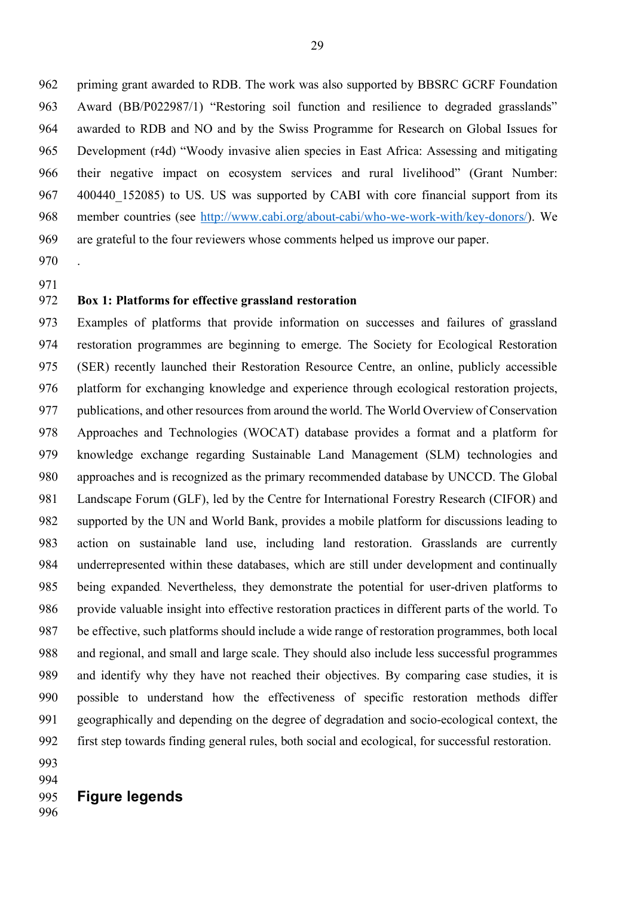priming grant awarded to RDB. The work was also supported by BBSRC GCRF Foundation Award (BB/P022987/1) "Restoring soil function and resilience to degraded grasslands" awarded to RDB and NO and by the Swiss Programme for Research on Global Issues for Development (r4d) "Woody invasive alien species in East Africa: Assessing and mitigating their negative impact on ecosystem services and rural livelihood" (Grant Number: 967 400440 152085) to US. US was supported by CABI with core financial support from its member countries (see http://www.cabi.org/about-cabi/who-we-work-with/key-donors/). We are grateful to the four reviewers whose comments helped us improve our paper. .

## **Box 1: Platforms for effective grassland restoration**

 Examples of platforms that provide information on successes and failures of grassland restoration programmes are beginning to emerge. The Society for Ecological Restoration (SER) recently launched their Restoration Resource Centre, an online, publicly accessible platform for exchanging knowledge and experience through ecological restoration projects, publications, and other resources from around the world. The World Overview of Conservation Approaches and Technologies (WOCAT) database provides a format and a platform for knowledge exchange regarding Sustainable Land Management (SLM) technologies and approaches and is recognized as the primary recommended database by UNCCD. The Global Landscape Forum (GLF), led by the Centre for International Forestry Research (CIFOR) and supported by the UN and World Bank, provides a mobile platform for discussions leading to action on sustainable land use, including land restoration. Grasslands are currently underrepresented within these databases, which are still under development and continually being expanded. Nevertheless, they demonstrate the potential for user-driven platforms to provide valuable insight into effective restoration practices in different parts of the world. To be effective, such platforms should include a wide range of restoration programmes, both local and regional, and small and large scale. They should also include less successful programmes and identify why they have not reached their objectives. By comparing case studies, it is possible to understand how the effectiveness of specific restoration methods differ geographically and depending on the degree of degradation and socio-ecological context, the first step towards finding general rules, both social and ecological, for successful restoration.

- 
- 
- **Figure legends**
-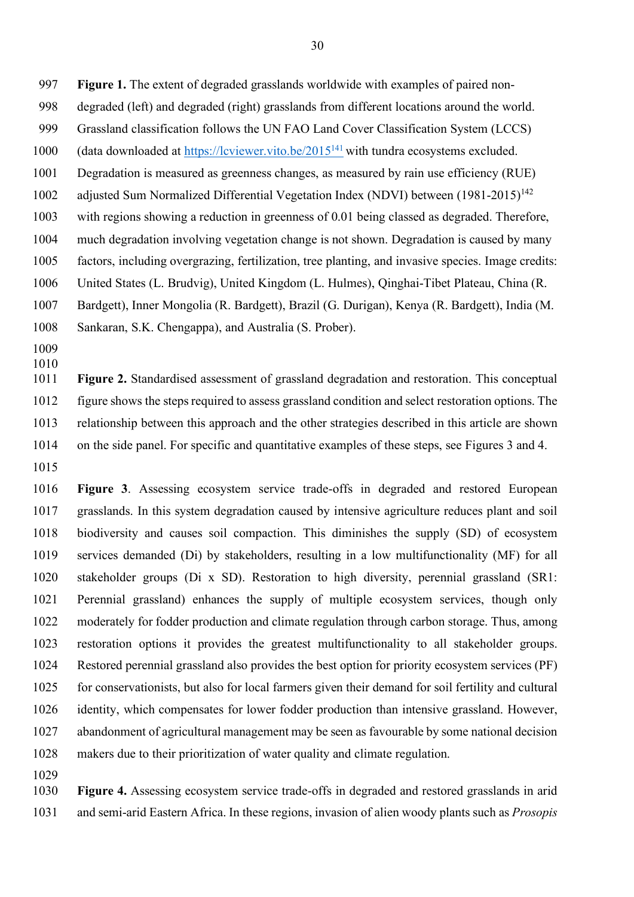**Figure 1.** The extent of degraded grasslands worldwide with examples of paired non-

- degraded (left) and degraded (right) grasslands from different locations around the world.
- Grassland classification follows the UN FAO Land Cover Classification System (LCCS)
- 1000 (data downloaded at https://lcviewer.vito.be/2015<sup>141</sup> with tundra ecosystems excluded.
- Degradation is measured as greenness changes, as measured by rain use efficiency (RUE)
- 1002 adjusted Sum Normalized Differential Vegetation Index (NDVI) between (1981-2015)<sup>142</sup>
- with regions showing a reduction in greenness of 0.01 being classed as degraded. Therefore,
- much degradation involving vegetation change is not shown. Degradation is caused by many
- factors, including overgrazing, fertilization, tree planting, and invasive species. Image credits:
- United States (L. Brudvig), United Kingdom (L. Hulmes), Qinghai-Tibet Plateau, China (R.
- Bardgett), Inner Mongolia (R. Bardgett), Brazil (G. Durigan), Kenya (R. Bardgett), India (M.
- Sankaran, S.K. Chengappa), and Australia (S. Prober).
- 

 **Figure 2.** Standardised assessment of grassland degradation and restoration. This conceptual figure shows the steps required to assess grassland condition and select restoration options. The relationship between this approach and the other strategies described in this article are shown on the side panel. For specific and quantitative examples of these steps, see Figures 3 and 4.

 **Figure 3**. Assessing ecosystem service trade-offs in degraded and restored European grasslands. In this system degradation caused by intensive agriculture reduces plant and soil biodiversity and causes soil compaction. This diminishes the supply (SD) of ecosystem services demanded (Di) by stakeholders, resulting in a low multifunctionality (MF) for all stakeholder groups (Di x SD). Restoration to high diversity, perennial grassland (SR1: Perennial grassland) enhances the supply of multiple ecosystem services, though only moderately for fodder production and climate regulation through carbon storage. Thus, among restoration options it provides the greatest multifunctionality to all stakeholder groups. Restored perennial grassland also provides the best option for priority ecosystem services (PF) for conservationists, but also for local farmers given their demand for soil fertility and cultural identity, which compensates for lower fodder production than intensive grassland. However, abandonment of agricultural management may be seen as favourable by some national decision makers due to their prioritization of water quality and climate regulation.

 **Figure 4.** Assessing ecosystem service trade-offs in degraded and restored grasslands in arid and semi-arid Eastern Africa. In these regions, invasion of alien woody plants such as *Prosopis*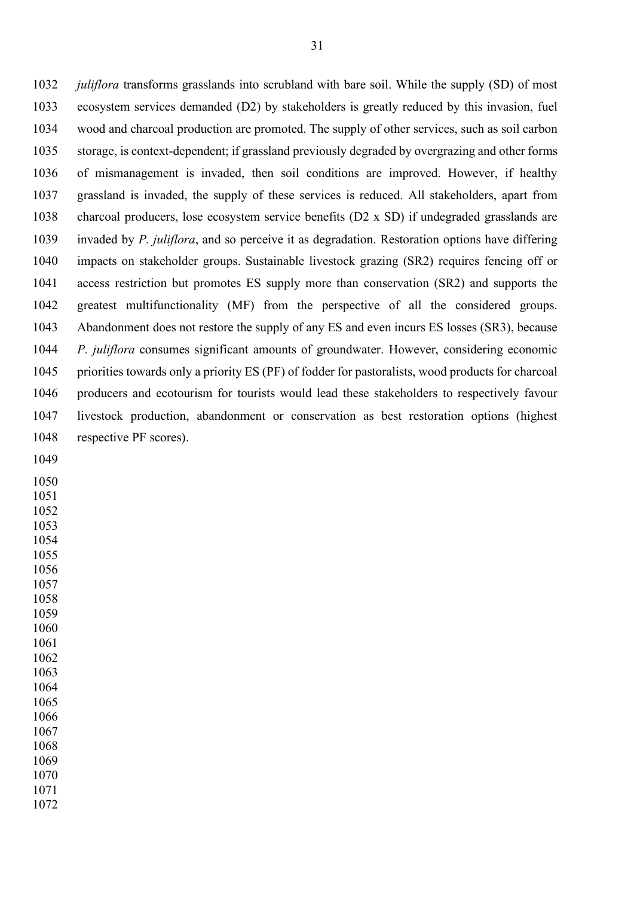*juliflora* transforms grasslands into scrubland with bare soil. While the supply (SD) of most ecosystem services demanded (D2) by stakeholders is greatly reduced by this invasion, fuel wood and charcoal production are promoted. The supply of other services, such as soil carbon storage, is context-dependent; if grassland previously degraded by overgrazing and other forms of mismanagement is invaded, then soil conditions are improved. However, if healthy grassland is invaded, the supply of these services is reduced. All stakeholders, apart from charcoal producers, lose ecosystem service benefits (D2 x SD) if undegraded grasslands are invaded by *P. juliflora*, and so perceive it as degradation. Restoration options have differing impacts on stakeholder groups. Sustainable livestock grazing (SR2) requires fencing off or access restriction but promotes ES supply more than conservation (SR2) and supports the greatest multifunctionality (MF) from the perspective of all the considered groups. Abandonment does not restore the supply of any ES and even incurs ES losses (SR3), because *P. juliflora* consumes significant amounts of groundwater. However, considering economic priorities towards only a priority ES (PF) of fodder for pastoralists, wood products for charcoal producers and ecotourism for tourists would lead these stakeholders to respectively favour livestock production, abandonment or conservation as best restoration options (highest respective PF scores).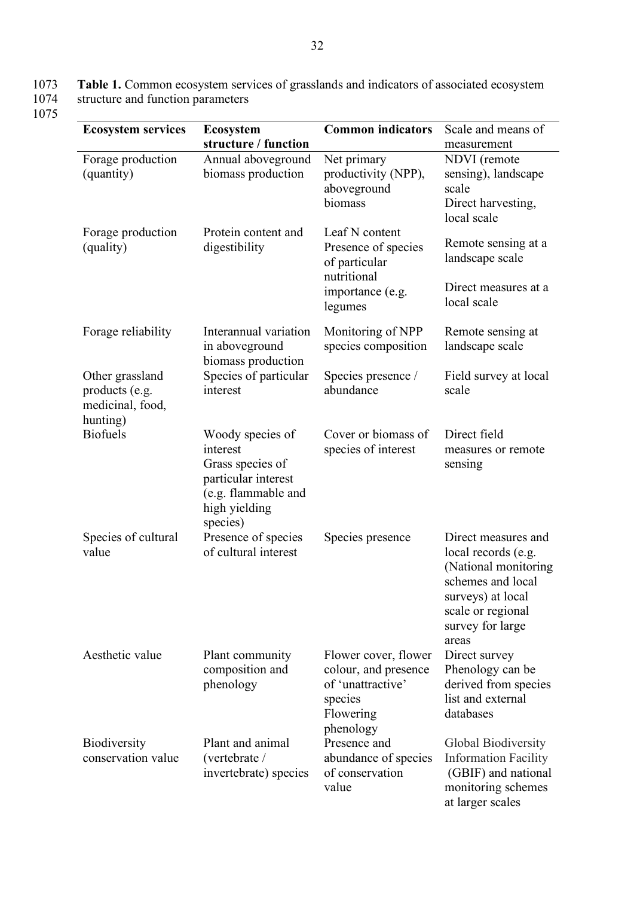1073 **Table 1.** Common ecosystem services of grasslands and indicators of associated ecosystem 1074 structure and function parameters  $\frac{1073}{1074}$ 

| <b>Ecosystem services</b>                                         | <b>Ecosystem</b><br>structure / function                                                                                    | <b>Common indicators</b>                                                                               | Scale and means of<br>measurement                                                                                                                              |
|-------------------------------------------------------------------|-----------------------------------------------------------------------------------------------------------------------------|--------------------------------------------------------------------------------------------------------|----------------------------------------------------------------------------------------------------------------------------------------------------------------|
| Forage production<br>(quantity)                                   | Annual aboveground<br>biomass production                                                                                    | Net primary<br>productivity (NPP),<br>aboveground<br>biomass                                           | NDVI (remote<br>sensing), landscape<br>scale<br>Direct harvesting,<br>local scale                                                                              |
| Forage production<br>(quality)                                    | Protein content and<br>digestibility                                                                                        | Leaf N content<br>Presence of species<br>of particular<br>nutritional                                  | Remote sensing at a<br>landscape scale                                                                                                                         |
|                                                                   |                                                                                                                             | importance (e.g.<br>legumes                                                                            | Direct measures at a<br>local scale                                                                                                                            |
| Forage reliability                                                | Interannual variation<br>in aboveground<br>biomass production                                                               | Monitoring of NPP<br>species composition                                                               | Remote sensing at<br>landscape scale                                                                                                                           |
| Other grassland<br>products (e.g.<br>medicinal, food,<br>hunting) | Species of particular<br>interest                                                                                           | Species presence /<br>abundance                                                                        | Field survey at local<br>scale                                                                                                                                 |
| <b>Biofuels</b>                                                   | Woody species of<br>interest<br>Grass species of<br>particular interest<br>(e.g. flammable and<br>high yielding<br>species) | Cover or biomass of<br>species of interest                                                             | Direct field<br>measures or remote<br>sensing                                                                                                                  |
| Species of cultural<br>value                                      | Presence of species<br>of cultural interest                                                                                 | Species presence                                                                                       | Direct measures and<br>local records (e.g.<br>(National monitoring<br>schemes and local<br>surveys) at local<br>scale or regional<br>survey for large<br>areas |
| Aesthetic value                                                   | Plant community<br>composition and<br>phenology                                                                             | Flower cover, flower<br>colour, and presence<br>of 'unattractive'<br>species<br>Flowering<br>phenology | Direct survey<br>Phenology can be<br>derived from species<br>list and external<br>databases                                                                    |
| Biodiversity<br>conservation value                                | Plant and animal<br>(vertebrate /<br>invertebrate) species                                                                  | Presence and<br>abundance of species<br>of conservation<br>value                                       | Global Biodiversity<br><b>Information Facility</b><br>(GBIF) and national<br>monitoring schemes<br>at larger scales                                            |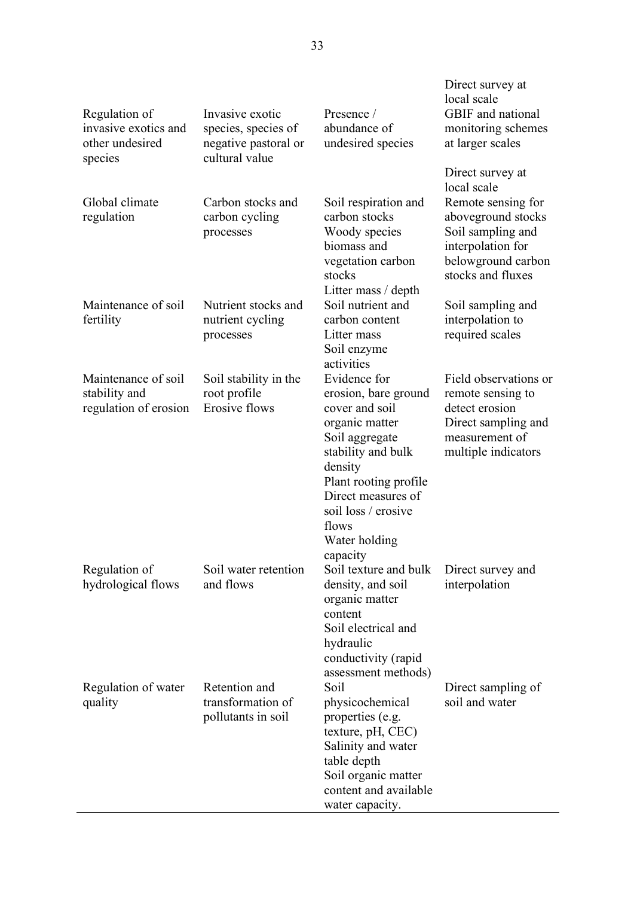| Regulation of<br>invasive exotics and<br>other undesired<br>species | Invasive exotic<br>species, species of<br>negative pastoral or<br>cultural value | Presence /<br>abundance of<br>undesired species                                                                                                                                                                                         | Direct survey at<br>local scale<br>GBIF and national<br>monitoring schemes<br>at larger scales                               |
|---------------------------------------------------------------------|----------------------------------------------------------------------------------|-----------------------------------------------------------------------------------------------------------------------------------------------------------------------------------------------------------------------------------------|------------------------------------------------------------------------------------------------------------------------------|
| Global climate<br>regulation                                        | Carbon stocks and<br>carbon cycling<br>processes                                 | Soil respiration and<br>carbon stocks<br>Woody species                                                                                                                                                                                  | Direct survey at<br>local scale<br>Remote sensing for<br>aboveground stocks<br>Soil sampling and                             |
| Maintenance of soil                                                 | Nutrient stocks and                                                              | biomass and<br>vegetation carbon<br>stocks<br>Litter mass / depth<br>Soil nutrient and                                                                                                                                                  | interpolation for<br>belowground carbon<br>stocks and fluxes<br>Soil sampling and                                            |
| fertility                                                           | nutrient cycling<br>processes                                                    | carbon content<br>Litter mass<br>Soil enzyme<br>activities                                                                                                                                                                              | interpolation to<br>required scales                                                                                          |
| Maintenance of soil<br>stability and<br>regulation of erosion       | Soil stability in the<br>root profile<br><b>Erosive flows</b>                    | Evidence for<br>erosion, bare ground<br>cover and soil<br>organic matter<br>Soil aggregate<br>stability and bulk<br>density<br>Plant rooting profile<br>Direct measures of<br>soil loss / erosive<br>flows<br>Water holding<br>capacity | Field observations or<br>remote sensing to<br>detect erosion<br>Direct sampling and<br>measurement of<br>multiple indicators |
| Regulation of<br>hydrological flows                                 | Soil water retention<br>and flows                                                | Soil texture and bulk<br>density, and soil<br>organic matter<br>content<br>Soil electrical and<br>hydraulic<br>conductivity (rapid<br>assessment methods)                                                                               | Direct survey and<br>interpolation                                                                                           |
| Regulation of water<br>quality                                      | Retention and<br>transformation of<br>pollutants in soil                         | Soil<br>physicochemical<br>properties (e.g.<br>texture, pH, CEC)<br>Salinity and water<br>table depth<br>Soil organic matter<br>content and available<br>water capacity.                                                                | Direct sampling of<br>soil and water                                                                                         |